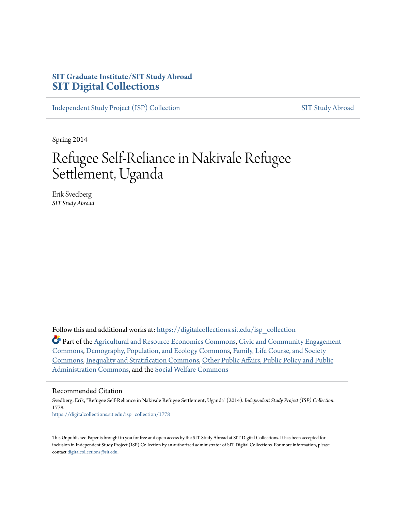# **SIT Graduate Institute/SIT Study Abroad [SIT Digital Collections](https://digitalcollections.sit.edu?utm_source=digitalcollections.sit.edu%2Fisp_collection%2F1778&utm_medium=PDF&utm_campaign=PDFCoverPages)**

[Independent Study Project \(ISP\) Collection](https://digitalcollections.sit.edu/isp_collection?utm_source=digitalcollections.sit.edu%2Fisp_collection%2F1778&utm_medium=PDF&utm_campaign=PDFCoverPages) [SIT Study Abroad](https://digitalcollections.sit.edu/study_abroad?utm_source=digitalcollections.sit.edu%2Fisp_collection%2F1778&utm_medium=PDF&utm_campaign=PDFCoverPages)

Spring 2014

# Refugee Self-Reliance in Nakivale Refugee Settlement, Uganda

Erik Svedberg *SIT Study Abroad*

Follow this and additional works at: [https://digitalcollections.sit.edu/isp\\_collection](https://digitalcollections.sit.edu/isp_collection?utm_source=digitalcollections.sit.edu%2Fisp_collection%2F1778&utm_medium=PDF&utm_campaign=PDFCoverPages)

Part of the [Agricultural and Resource Economics Commons](http://network.bepress.com/hgg/discipline/317?utm_source=digitalcollections.sit.edu%2Fisp_collection%2F1778&utm_medium=PDF&utm_campaign=PDFCoverPages), [Civic and Community Engagement](http://network.bepress.com/hgg/discipline/1028?utm_source=digitalcollections.sit.edu%2Fisp_collection%2F1778&utm_medium=PDF&utm_campaign=PDFCoverPages) [Commons,](http://network.bepress.com/hgg/discipline/1028?utm_source=digitalcollections.sit.edu%2Fisp_collection%2F1778&utm_medium=PDF&utm_campaign=PDFCoverPages) [Demography, Population, and Ecology Commons](http://network.bepress.com/hgg/discipline/418?utm_source=digitalcollections.sit.edu%2Fisp_collection%2F1778&utm_medium=PDF&utm_campaign=PDFCoverPages), [Family, Life Course, and Society](http://network.bepress.com/hgg/discipline/419?utm_source=digitalcollections.sit.edu%2Fisp_collection%2F1778&utm_medium=PDF&utm_campaign=PDFCoverPages) [Commons,](http://network.bepress.com/hgg/discipline/419?utm_source=digitalcollections.sit.edu%2Fisp_collection%2F1778&utm_medium=PDF&utm_campaign=PDFCoverPages) [Inequality and Stratification Commons,](http://network.bepress.com/hgg/discipline/421?utm_source=digitalcollections.sit.edu%2Fisp_collection%2F1778&utm_medium=PDF&utm_campaign=PDFCoverPages) [Other Public Affairs, Public Policy and Public](http://network.bepress.com/hgg/discipline/403?utm_source=digitalcollections.sit.edu%2Fisp_collection%2F1778&utm_medium=PDF&utm_campaign=PDFCoverPages) [Administration Commons,](http://network.bepress.com/hgg/discipline/403?utm_source=digitalcollections.sit.edu%2Fisp_collection%2F1778&utm_medium=PDF&utm_campaign=PDFCoverPages) and the [Social Welfare Commons](http://network.bepress.com/hgg/discipline/401?utm_source=digitalcollections.sit.edu%2Fisp_collection%2F1778&utm_medium=PDF&utm_campaign=PDFCoverPages)

#### Recommended Citation

Svedberg, Erik, "Refugee Self-Reliance in Nakivale Refugee Settlement, Uganda" (2014). *Independent Study Project (ISP) Collection*. 1778. [https://digitalcollections.sit.edu/isp\\_collection/1778](https://digitalcollections.sit.edu/isp_collection/1778?utm_source=digitalcollections.sit.edu%2Fisp_collection%2F1778&utm_medium=PDF&utm_campaign=PDFCoverPages)

This Unpublished Paper is brought to you for free and open access by the SIT Study Abroad at SIT Digital Collections. It has been accepted for inclusion in Independent Study Project (ISP) Collection by an authorized administrator of SIT Digital Collections. For more information, please contact [digitalcollections@sit.edu](mailto:digitalcollections@sit.edu).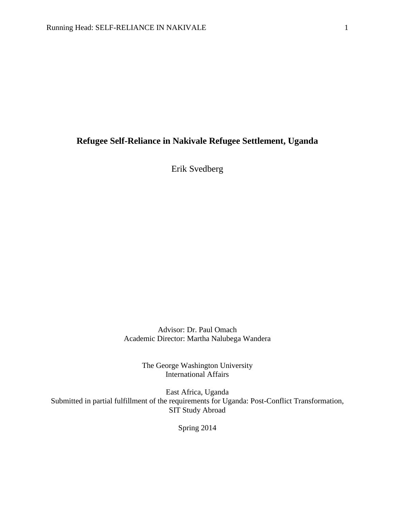# **Refugee Self-Reliance in Nakivale Refugee Settlement, Uganda**

Erik Svedberg

Advisor: Dr. Paul Omach Academic Director: Martha Nalubega Wandera

> The George Washington University International Affairs

East Africa, Uganda Submitted in partial fulfillment of the requirements for Uganda: Post-Conflict Transformation, SIT Study Abroad

Spring 2014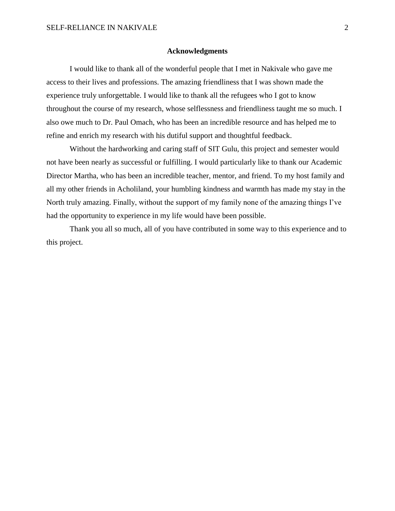#### **Acknowledgments**

I would like to thank all of the wonderful people that I met in Nakivale who gave me access to their lives and professions. The amazing friendliness that I was shown made the experience truly unforgettable. I would like to thank all the refugees who I got to know throughout the course of my research, whose selflessness and friendliness taught me so much. I also owe much to Dr. Paul Omach, who has been an incredible resource and has helped me to refine and enrich my research with his dutiful support and thoughtful feedback.

Without the hardworking and caring staff of SIT Gulu, this project and semester would not have been nearly as successful or fulfilling. I would particularly like to thank our Academic Director Martha, who has been an incredible teacher, mentor, and friend. To my host family and all my other friends in Acholiland, your humbling kindness and warmth has made my stay in the North truly amazing. Finally, without the support of my family none of the amazing things I've had the opportunity to experience in my life would have been possible.

Thank you all so much, all of you have contributed in some way to this experience and to this project.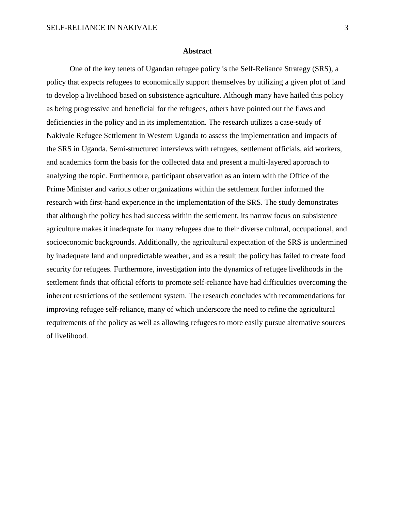#### **Abstract**

One of the key tenets of Ugandan refugee policy is the Self-Reliance Strategy (SRS), a policy that expects refugees to economically support themselves by utilizing a given plot of land to develop a livelihood based on subsistence agriculture. Although many have hailed this policy as being progressive and beneficial for the refugees, others have pointed out the flaws and deficiencies in the policy and in its implementation. The research utilizes a case-study of Nakivale Refugee Settlement in Western Uganda to assess the implementation and impacts of the SRS in Uganda. Semi-structured interviews with refugees, settlement officials, aid workers, and academics form the basis for the collected data and present a multi-layered approach to analyzing the topic. Furthermore, participant observation as an intern with the Office of the Prime Minister and various other organizations within the settlement further informed the research with first-hand experience in the implementation of the SRS. The study demonstrates that although the policy has had success within the settlement, its narrow focus on subsistence agriculture makes it inadequate for many refugees due to their diverse cultural, occupational, and socioeconomic backgrounds. Additionally, the agricultural expectation of the SRS is undermined by inadequate land and unpredictable weather, and as a result the policy has failed to create food security for refugees. Furthermore, investigation into the dynamics of refugee livelihoods in the settlement finds that official efforts to promote self-reliance have had difficulties overcoming the inherent restrictions of the settlement system. The research concludes with recommendations for improving refugee self-reliance, many of which underscore the need to refine the agricultural requirements of the policy as well as allowing refugees to more easily pursue alternative sources of livelihood.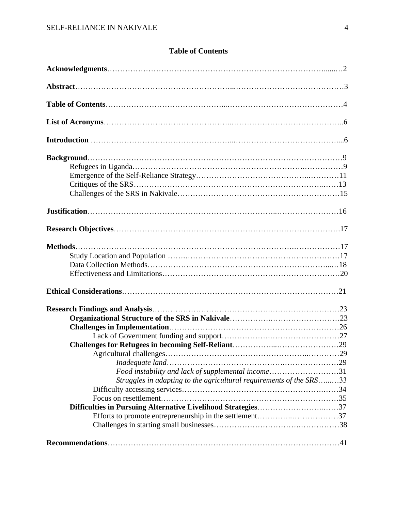# **Table of Contents**

| Food instability and lack of supplemental income31                  |  |
|---------------------------------------------------------------------|--|
| Struggles in adapting to the agricultural requirements of the SRS33 |  |
|                                                                     |  |
|                                                                     |  |
| Difficulties in Pursuing Alternative Livelihood Strategies37        |  |
|                                                                     |  |
|                                                                     |  |
|                                                                     |  |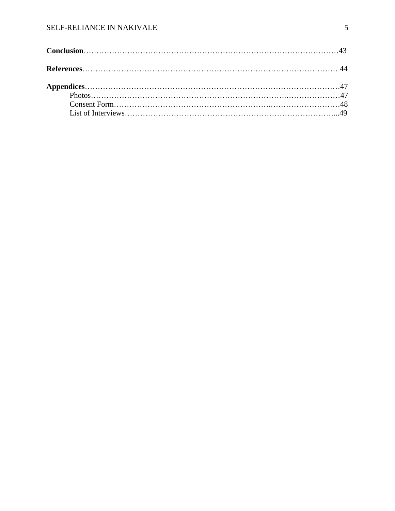# SELF-RELIANCE IN NAKIVALE 5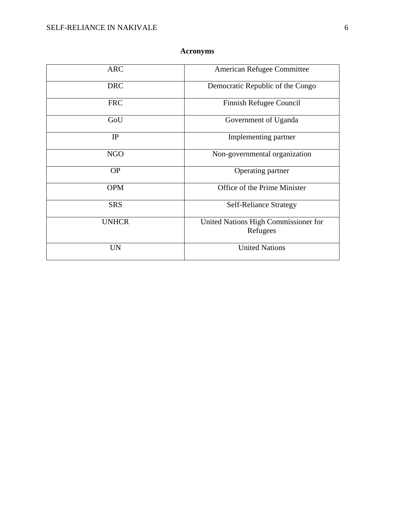# **Acronyms**

| <b>ARC</b>   | American Refugee Committee                       |  |
|--------------|--------------------------------------------------|--|
| <b>DRC</b>   | Democratic Republic of the Congo                 |  |
| <b>FRC</b>   | Finnish Refugee Council                          |  |
| GoU          | Government of Uganda                             |  |
| IP           | Implementing partner                             |  |
| <b>NGO</b>   | Non-governmental organization                    |  |
| <b>OP</b>    | Operating partner                                |  |
| <b>OPM</b>   | Office of the Prime Minister                     |  |
| <b>SRS</b>   | <b>Self-Reliance Strategy</b>                    |  |
| <b>UNHCR</b> | United Nations High Commissioner for<br>Refugees |  |
| <b>UN</b>    | <b>United Nations</b>                            |  |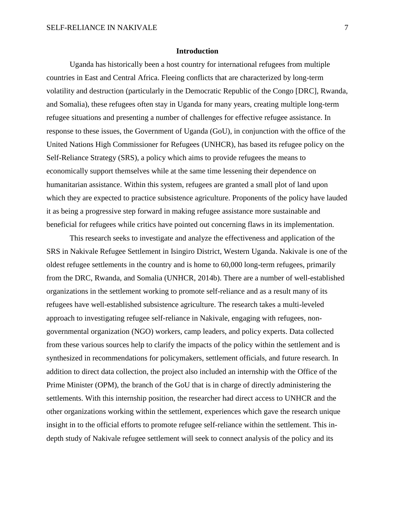#### **Introduction**

Uganda has historically been a host country for international refugees from multiple countries in East and Central Africa. Fleeing conflicts that are characterized by long-term volatility and destruction (particularly in the Democratic Republic of the Congo [DRC], Rwanda, and Somalia), these refugees often stay in Uganda for many years, creating multiple long-term refugee situations and presenting a number of challenges for effective refugee assistance. In response to these issues, the Government of Uganda (GoU), in conjunction with the office of the United Nations High Commissioner for Refugees (UNHCR), has based its refugee policy on the Self-Reliance Strategy (SRS), a policy which aims to provide refugees the means to economically support themselves while at the same time lessening their dependence on humanitarian assistance. Within this system, refugees are granted a small plot of land upon which they are expected to practice subsistence agriculture. Proponents of the policy have lauded it as being a progressive step forward in making refugee assistance more sustainable and beneficial for refugees while critics have pointed out concerning flaws in its implementation.

This research seeks to investigate and analyze the effectiveness and application of the SRS in Nakivale Refugee Settlement in Isingiro District, Western Uganda. Nakivale is one of the oldest refugee settlements in the country and is home to 60,000 long-term refugees, primarily from the DRC, Rwanda, and Somalia (UNHCR, 2014b). There are a number of well-established organizations in the settlement working to promote self-reliance and as a result many of its refugees have well-established subsistence agriculture. The research takes a multi-leveled approach to investigating refugee self-reliance in Nakivale, engaging with refugees, nongovernmental organization (NGO) workers, camp leaders, and policy experts. Data collected from these various sources help to clarify the impacts of the policy within the settlement and is synthesized in recommendations for policymakers, settlement officials, and future research. In addition to direct data collection, the project also included an internship with the Office of the Prime Minister (OPM), the branch of the GoU that is in charge of directly administering the settlements. With this internship position, the researcher had direct access to UNHCR and the other organizations working within the settlement, experiences which gave the research unique insight in to the official efforts to promote refugee self-reliance within the settlement. This indepth study of Nakivale refugee settlement will seek to connect analysis of the policy and its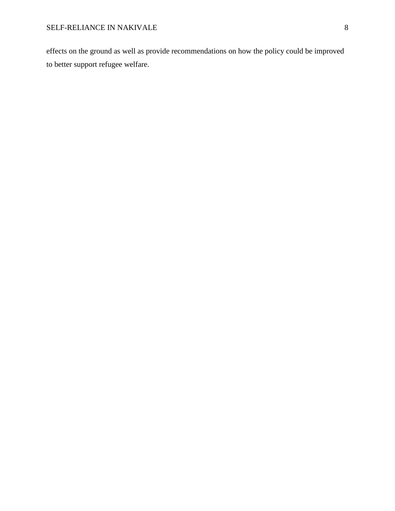effects on the ground as well as provide recommendations on how the policy could be improved to better support refugee welfare.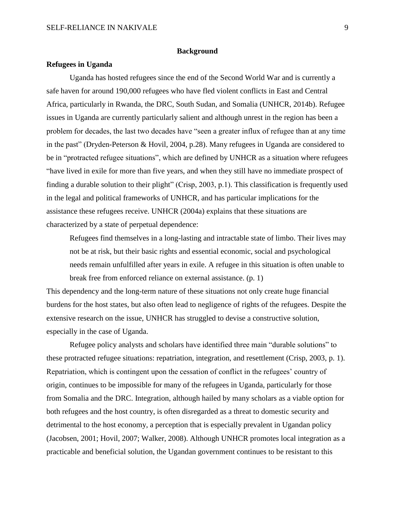#### **Background**

#### **Refugees in Uganda**

Uganda has hosted refugees since the end of the Second World War and is currently a safe haven for around 190,000 refugees who have fled violent conflicts in East and Central Africa, particularly in Rwanda, the DRC, South Sudan, and Somalia (UNHCR, 2014b). Refugee issues in Uganda are currently particularly salient and although unrest in the region has been a problem for decades, the last two decades have "seen a greater influx of refugee than at any time in the past" (Dryden-Peterson & Hovil, 2004, p.28). Many refugees in Uganda are considered to be in "protracted refugee situations", which are defined by UNHCR as a situation where refugees "have lived in exile for more than five years, and when they still have no immediate prospect of finding a durable solution to their plight" (Crisp, 2003, p.1). This classification is frequently used in the legal and political frameworks of UNHCR, and has particular implications for the assistance these refugees receive. UNHCR (2004a) explains that these situations are characterized by a state of perpetual dependence:

Refugees find themselves in a long-lasting and intractable state of limbo. Their lives may not be at risk, but their basic rights and essential economic, social and psychological needs remain unfulfilled after years in exile. A refugee in this situation is often unable to break free from enforced reliance on external assistance. (p. 1)

This dependency and the long-term nature of these situations not only create huge financial burdens for the host states, but also often lead to negligence of rights of the refugees. Despite the extensive research on the issue, UNHCR has struggled to devise a constructive solution, especially in the case of Uganda.

Refugee policy analysts and scholars have identified three main "durable solutions" to these protracted refugee situations: repatriation, integration, and resettlement (Crisp, 2003, p. 1). Repatriation, which is contingent upon the cessation of conflict in the refugees' country of origin, continues to be impossible for many of the refugees in Uganda, particularly for those from Somalia and the DRC. Integration, although hailed by many scholars as a viable option for both refugees and the host country, is often disregarded as a threat to domestic security and detrimental to the host economy, a perception that is especially prevalent in Ugandan policy (Jacobsen, 2001; Hovil, 2007; Walker, 2008). Although UNHCR promotes local integration as a practicable and beneficial solution, the Ugandan government continues to be resistant to this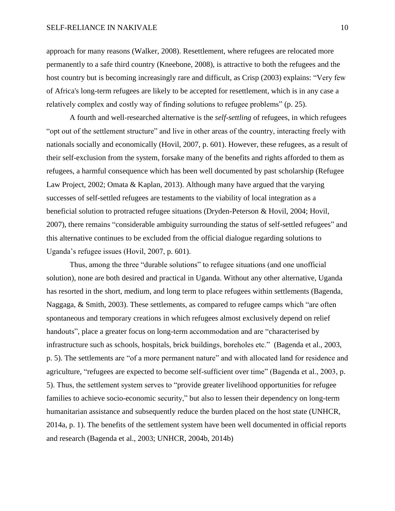#### SELF-RELIANCE IN NAKIVALE 10

approach for many reasons (Walker, 2008). Resettlement, where refugees are relocated more permanently to a safe third country (Kneebone, 2008), is attractive to both the refugees and the host country but is becoming increasingly rare and difficult, as Crisp (2003) explains: "Very few of Africa's long-term refugees are likely to be accepted for resettlement, which is in any case a relatively complex and costly way of finding solutions to refugee problems" (p. 25).

A fourth and well-researched alternative is the *self-settling* of refugees, in which refugees "opt out of the settlement structure" and live in other areas of the country, interacting freely with nationals socially and economically (Hovil, 2007, p. 601). However, these refugees, as a result of their self-exclusion from the system, forsake many of the benefits and rights afforded to them as refugees, a harmful consequence which has been well documented by past scholarship (Refugee Law Project, 2002; Omata & Kaplan, 2013). Although many have argued that the varying successes of self-settled refugees are testaments to the viability of local integration as a beneficial solution to protracted refugee situations (Dryden-Peterson & Hovil, 2004; Hovil, 2007), there remains "considerable ambiguity surrounding the status of self-settled refugees" and this alternative continues to be excluded from the official dialogue regarding solutions to Uganda's refugee issues (Hovil, 2007, p. 601).

Thus, among the three "durable solutions" to refugee situations (and one unofficial solution), none are both desired and practical in Uganda. Without any other alternative, Uganda has resorted in the short, medium, and long term to place refugees within settlements (Bagenda, Naggaga, & Smith, 2003). These settlements, as compared to refugee camps which "are often spontaneous and temporary creations in which refugees almost exclusively depend on relief handouts", place a greater focus on long-term accommodation and are "characterised by infrastructure such as schools, hospitals, brick buildings, boreholes etc." (Bagenda et al., 2003, p. 5). The settlements are "of a more permanent nature" and with allocated land for residence and agriculture, "refugees are expected to become self-sufficient over time" (Bagenda et al., 2003, p. 5). Thus, the settlement system serves to "provide greater livelihood opportunities for refugee families to achieve socio-economic security," but also to lessen their dependency on long-term humanitarian assistance and subsequently reduce the burden placed on the host state (UNHCR, 2014a, p. 1). The benefits of the settlement system have been well documented in official reports and research (Bagenda et al., 2003; UNHCR, 2004b, 2014b)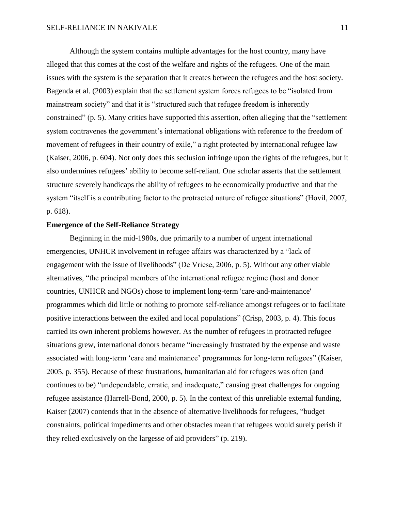Although the system contains multiple advantages for the host country, many have alleged that this comes at the cost of the welfare and rights of the refugees. One of the main issues with the system is the separation that it creates between the refugees and the host society. Bagenda et al. (2003) explain that the settlement system forces refugees to be "isolated from mainstream society" and that it is "structured such that refugee freedom is inherently constrained" (p. 5). Many critics have supported this assertion, often alleging that the "settlement system contravenes the government's international obligations with reference to the freedom of movement of refugees in their country of exile," a right protected by international refugee law (Kaiser, 2006, p. 604). Not only does this seclusion infringe upon the rights of the refugees, but it also undermines refugees' ability to become self-reliant. One scholar asserts that the settlement structure severely handicaps the ability of refugees to be economically productive and that the system "itself is a contributing factor to the protracted nature of refugee situations" (Hovil, 2007, p. 618).

## **Emergence of the Self-Reliance Strategy**

Beginning in the mid-1980s, due primarily to a number of urgent international emergencies, UNHCR involvement in refugee affairs was characterized by a "lack of engagement with the issue of livelihoods" (De Vriese, 2006, p. 5). Without any other viable alternatives, "the principal members of the international refugee regime (host and donor countries, UNHCR and NGOs) chose to implement long-term 'care-and-maintenance' programmes which did little or nothing to promote self-reliance amongst refugees or to facilitate positive interactions between the exiled and local populations" (Crisp, 2003, p. 4). This focus carried its own inherent problems however. As the number of refugees in protracted refugee situations grew, international donors became "increasingly frustrated by the expense and waste associated with long-term 'care and maintenance' programmes for long-term refugees" (Kaiser, 2005, p. 355). Because of these frustrations, humanitarian aid for refugees was often (and continues to be) "undependable, erratic, and inadequate," causing great challenges for ongoing refugee assistance (Harrell-Bond, 2000, p. 5). In the context of this unreliable external funding, Kaiser (2007) contends that in the absence of alternative livelihoods for refugees, "budget constraints, political impediments and other obstacles mean that refugees would surely perish if they relied exclusively on the largesse of aid providers" (p. 219).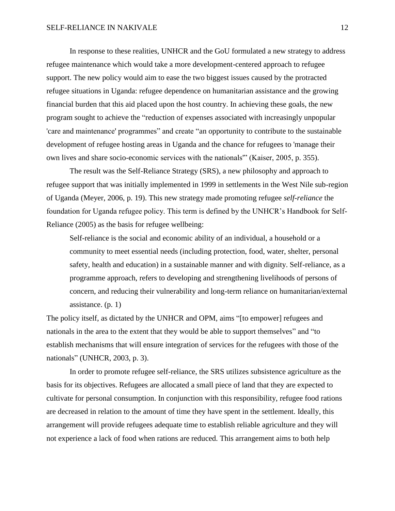In response to these realities, UNHCR and the GoU formulated a new strategy to address refugee maintenance which would take a more development-centered approach to refugee support. The new policy would aim to ease the two biggest issues caused by the protracted refugee situations in Uganda: refugee dependence on humanitarian assistance and the growing financial burden that this aid placed upon the host country. In achieving these goals, the new program sought to achieve the "reduction of expenses associated with increasingly unpopular 'care and maintenance' programmes" and create "an opportunity to contribute to the sustainable development of refugee hosting areas in Uganda and the chance for refugees to 'manage their own lives and share socio-economic services with the nationals'" (Kaiser, 2005, p. 355).

The result was the Self-Reliance Strategy (SRS), a new philosophy and approach to refugee support that was initially implemented in 1999 in settlements in the West Nile sub-region of Uganda (Meyer, 2006, p. 19). This new strategy made promoting refugee *self-reliance* the foundation for Uganda refugee policy. This term is defined by the UNHCR's Handbook for Self-Reliance (2005) as the basis for refugee wellbeing:

Self-reliance is the social and economic ability of an individual, a household or a community to meet essential needs (including protection, food, water, shelter, personal safety, health and education) in a sustainable manner and with dignity. Self-reliance, as a programme approach, refers to developing and strengthening livelihoods of persons of concern, and reducing their vulnerability and long-term reliance on humanitarian/external assistance. (p. 1)

The policy itself, as dictated by the UNHCR and OPM, aims "[to empower] refugees and nationals in the area to the extent that they would be able to support themselves" and "to establish mechanisms that will ensure integration of services for the refugees with those of the nationals" (UNHCR, 2003, p. 3).

In order to promote refugee self-reliance, the SRS utilizes subsistence agriculture as the basis for its objectives. Refugees are allocated a small piece of land that they are expected to cultivate for personal consumption. In conjunction with this responsibility, refugee food rations are decreased in relation to the amount of time they have spent in the settlement. Ideally, this arrangement will provide refugees adequate time to establish reliable agriculture and they will not experience a lack of food when rations are reduced. This arrangement aims to both help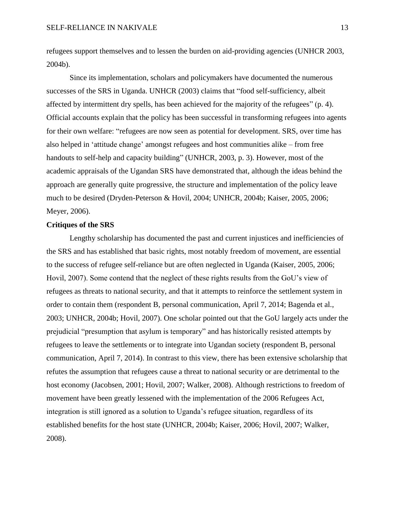refugees support themselves and to lessen the burden on aid-providing agencies (UNHCR 2003, 2004b).

Since its implementation, scholars and policymakers have documented the numerous successes of the SRS in Uganda. UNHCR (2003) claims that "food self-sufficiency, albeit affected by intermittent dry spells, has been achieved for the majority of the refugees" (p. 4). Official accounts explain that the policy has been successful in transforming refugees into agents for their own welfare: "refugees are now seen as potential for development. SRS, over time has also helped in 'attitude change' amongst refugees and host communities alike – from free handouts to self-help and capacity building" (UNHCR, 2003, p. 3). However, most of the academic appraisals of the Ugandan SRS have demonstrated that, although the ideas behind the approach are generally quite progressive, the structure and implementation of the policy leave much to be desired (Dryden-Peterson & Hovil, 2004; UNHCR, 2004b; Kaiser, 2005, 2006; Meyer, 2006).

# **Critiques of the SRS**

Lengthy scholarship has documented the past and current injustices and inefficiencies of the SRS and has established that basic rights, most notably freedom of movement, are essential to the success of refugee self-reliance but are often neglected in Uganda (Kaiser, 2005, 2006; Hovil, 2007). Some contend that the neglect of these rights results from the GoU's view of refugees as threats to national security, and that it attempts to reinforce the settlement system in order to contain them (respondent B, personal communication, April 7, 2014; Bagenda et al., 2003; UNHCR, 2004b; Hovil, 2007). One scholar pointed out that the GoU largely acts under the prejudicial "presumption that asylum is temporary" and has historically resisted attempts by refugees to leave the settlements or to integrate into Ugandan society (respondent B, personal communication, April 7, 2014). In contrast to this view, there has been extensive scholarship that refutes the assumption that refugees cause a threat to national security or are detrimental to the host economy (Jacobsen, 2001; Hovil, 2007; Walker, 2008). Although restrictions to freedom of movement have been greatly lessened with the implementation of the 2006 Refugees Act, integration is still ignored as a solution to Uganda's refugee situation, regardless of its established benefits for the host state (UNHCR, 2004b; Kaiser, 2006; Hovil, 2007; Walker, 2008).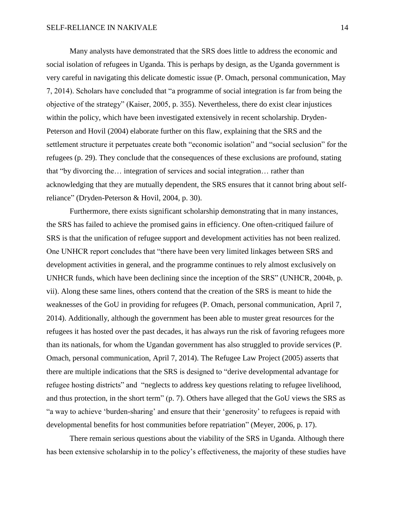Many analysts have demonstrated that the SRS does little to address the economic and social isolation of refugees in Uganda. This is perhaps by design, as the Uganda government is very careful in navigating this delicate domestic issue (P. Omach, personal communication, May 7, 2014). Scholars have concluded that "a programme of social integration is far from being the objective of the strategy" (Kaiser, 2005, p. 355). Nevertheless, there do exist clear injustices within the policy, which have been investigated extensively in recent scholarship. Dryden-Peterson and Hovil (2004) elaborate further on this flaw, explaining that the SRS and the settlement structure it perpetuates create both "economic isolation" and "social seclusion" for the refugees (p. 29). They conclude that the consequences of these exclusions are profound, stating that "by divorcing the… integration of services and social integration… rather than acknowledging that they are mutually dependent, the SRS ensures that it cannot bring about selfreliance" (Dryden-Peterson & Hovil, 2004, p. 30).

Furthermore, there exists significant scholarship demonstrating that in many instances, the SRS has failed to achieve the promised gains in efficiency. One often-critiqued failure of SRS is that the unification of refugee support and development activities has not been realized. One UNHCR report concludes that "there have been very limited linkages between SRS and development activities in general, and the programme continues to rely almost exclusively on UNHCR funds, which have been declining since the inception of the SRS" (UNHCR, 2004b, p. vii). Along these same lines, others contend that the creation of the SRS is meant to hide the weaknesses of the GoU in providing for refugees (P. Omach, personal communication, April 7, 2014). Additionally, although the government has been able to muster great resources for the refugees it has hosted over the past decades, it has always run the risk of favoring refugees more than its nationals, for whom the Ugandan government has also struggled to provide services (P. Omach, personal communication, April 7, 2014). The Refugee Law Project (2005) asserts that there are multiple indications that the SRS is designed to "derive developmental advantage for refugee hosting districts" and "neglects to address key questions relating to refugee livelihood, and thus protection, in the short term" (p. 7). Others have alleged that the GoU views the SRS as "a way to achieve 'burden-sharing' and ensure that their 'generosity' to refugees is repaid with developmental benefits for host communities before repatriation" (Meyer, 2006, p. 17).

There remain serious questions about the viability of the SRS in Uganda. Although there has been extensive scholarship in to the policy's effectiveness, the majority of these studies have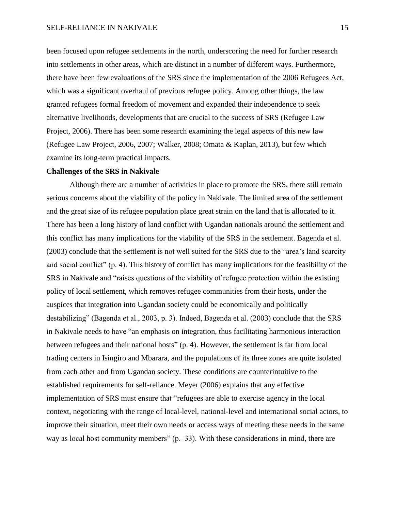been focused upon refugee settlements in the north, underscoring the need for further research into settlements in other areas, which are distinct in a number of different ways. Furthermore, there have been few evaluations of the SRS since the implementation of the 2006 Refugees Act, which was a significant overhaul of previous refugee policy. Among other things, the law granted refugees formal freedom of movement and expanded their independence to seek alternative livelihoods, developments that are crucial to the success of SRS (Refugee Law Project, 2006). There has been some research examining the legal aspects of this new law (Refugee Law Project, 2006, 2007; Walker, 2008; Omata & Kaplan, 2013), but few which examine its long-term practical impacts.

## **Challenges of the SRS in Nakivale**

Although there are a number of activities in place to promote the SRS, there still remain serious concerns about the viability of the policy in Nakivale. The limited area of the settlement and the great size of its refugee population place great strain on the land that is allocated to it. There has been a long history of land conflict with Ugandan nationals around the settlement and this conflict has many implications for the viability of the SRS in the settlement. Bagenda et al. (2003) conclude that the settlement is not well suited for the SRS due to the "area's land scarcity and social conflict" (p. 4). This history of conflict has many implications for the feasibility of the SRS in Nakivale and "raises questions of the viability of refugee protection within the existing policy of local settlement, which removes refugee communities from their hosts, under the auspices that integration into Ugandan society could be economically and politically destabilizing" (Bagenda et al., 2003, p. 3). Indeed, Bagenda et al. (2003) conclude that the SRS in Nakivale needs to have "an emphasis on integration, thus facilitating harmonious interaction between refugees and their national hosts" (p. 4). However, the settlement is far from local trading centers in Isingiro and Mbarara, and the populations of its three zones are quite isolated from each other and from Ugandan society. These conditions are counterintuitive to the established requirements for self-reliance. Meyer (2006) explains that any effective implementation of SRS must ensure that "refugees are able to exercise agency in the local context, negotiating with the range of local-level, national-level and international social actors, to improve their situation, meet their own needs or access ways of meeting these needs in the same way as local host community members" (p. 33). With these considerations in mind, there are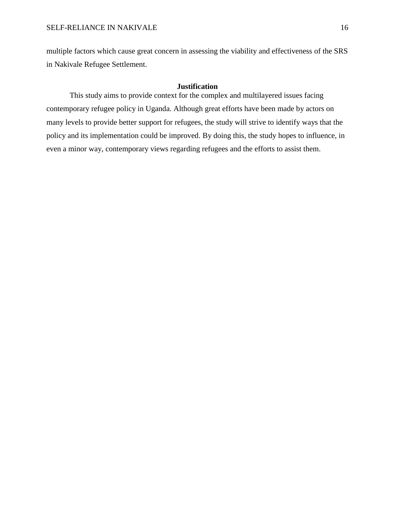multiple factors which cause great concern in assessing the viability and effectiveness of the SRS in Nakivale Refugee Settlement.

# **Justification**

This study aims to provide context for the complex and multilayered issues facing contemporary refugee policy in Uganda. Although great efforts have been made by actors on many levels to provide better support for refugees, the study will strive to identify ways that the policy and its implementation could be improved. By doing this, the study hopes to influence, in even a minor way, contemporary views regarding refugees and the efforts to assist them.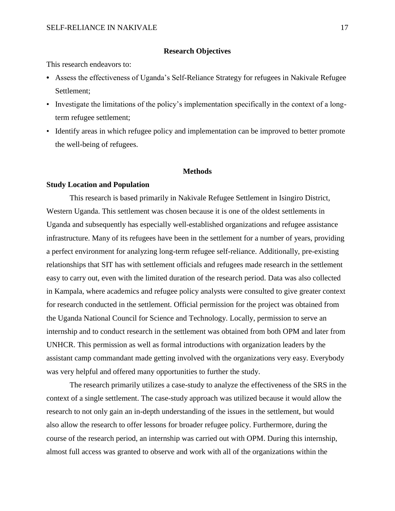#### **Research Objectives**

This research endeavors to:

- **•** Assess the effectiveness of Uganda's Self-Reliance Strategy for refugees in Nakivale Refugee Settlement;
- Investigate the limitations of the policy's implementation specifically in the context of a longterm refugee settlement;
- Identify areas in which refugee policy and implementation can be improved to better promote the well-being of refugees.

### **Methods**

#### **Study Location and Population**

This research is based primarily in Nakivale Refugee Settlement in Isingiro District, Western Uganda. This settlement was chosen because it is one of the oldest settlements in Uganda and subsequently has especially well-established organizations and refugee assistance infrastructure. Many of its refugees have been in the settlement for a number of years, providing a perfect environment for analyzing long-term refugee self-reliance. Additionally, pre-existing relationships that SIT has with settlement officials and refugees made research in the settlement easy to carry out, even with the limited duration of the research period. Data was also collected in Kampala, where academics and refugee policy analysts were consulted to give greater context for research conducted in the settlement. Official permission for the project was obtained from the Uganda National Council for Science and Technology. Locally, permission to serve an internship and to conduct research in the settlement was obtained from both OPM and later from UNHCR. This permission as well as formal introductions with organization leaders by the assistant camp commandant made getting involved with the organizations very easy. Everybody was very helpful and offered many opportunities to further the study.

The research primarily utilizes a case-study to analyze the effectiveness of the SRS in the context of a single settlement. The case-study approach was utilized because it would allow the research to not only gain an in-depth understanding of the issues in the settlement, but would also allow the research to offer lessons for broader refugee policy. Furthermore, during the course of the research period, an internship was carried out with OPM. During this internship, almost full access was granted to observe and work with all of the organizations within the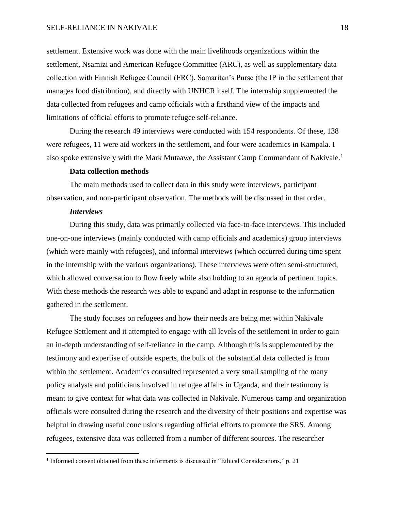#### SELF-RELIANCE IN NAKIVALE 18

settlement. Extensive work was done with the main livelihoods organizations within the settlement, Nsamizi and American Refugee Committee (ARC), as well as supplementary data collection with Finnish Refugee Council (FRC), Samaritan's Purse (the IP in the settlement that manages food distribution), and directly with UNHCR itself. The internship supplemented the data collected from refugees and camp officials with a firsthand view of the impacts and limitations of official efforts to promote refugee self-reliance.

During the research 49 interviews were conducted with 154 respondents. Of these, 138 were refugees, 11 were aid workers in the settlement, and four were academics in Kampala. I also spoke extensively with the Mark Mutaawe, the Assistant Camp Commandant of Nakivale.<sup>1</sup>

# **Data collection methods**

The main methods used to collect data in this study were interviews, participant observation, and non-participant observation. The methods will be discussed in that order.

#### *Interviews*

 $\overline{a}$ 

During this study, data was primarily collected via face-to-face interviews. This included one-on-one interviews (mainly conducted with camp officials and academics) group interviews (which were mainly with refugees), and informal interviews (which occurred during time spent in the internship with the various organizations). These interviews were often semi-structured, which allowed conversation to flow freely while also holding to an agenda of pertinent topics. With these methods the research was able to expand and adapt in response to the information gathered in the settlement.

The study focuses on refugees and how their needs are being met within Nakivale Refugee Settlement and it attempted to engage with all levels of the settlement in order to gain an in-depth understanding of self-reliance in the camp. Although this is supplemented by the testimony and expertise of outside experts, the bulk of the substantial data collected is from within the settlement. Academics consulted represented a very small sampling of the many policy analysts and politicians involved in refugee affairs in Uganda, and their testimony is meant to give context for what data was collected in Nakivale. Numerous camp and organization officials were consulted during the research and the diversity of their positions and expertise was helpful in drawing useful conclusions regarding official efforts to promote the SRS. Among refugees, extensive data was collected from a number of different sources. The researcher

<sup>&</sup>lt;sup>1</sup> Informed consent obtained from these informants is discussed in "Ethical Considerations," p. 21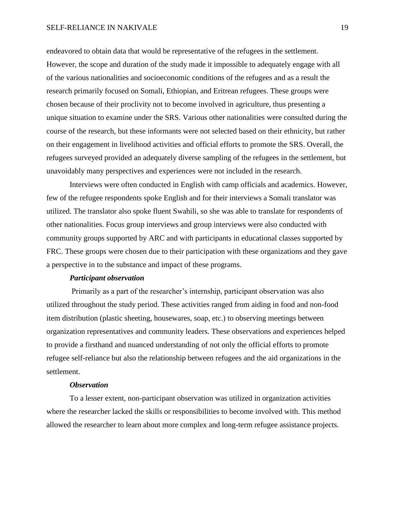#### SELF-RELIANCE IN NAKIVALE 19

endeavored to obtain data that would be representative of the refugees in the settlement. However, the scope and duration of the study made it impossible to adequately engage with all of the various nationalities and socioeconomic conditions of the refugees and as a result the research primarily focused on Somali, Ethiopian, and Eritrean refugees. These groups were chosen because of their proclivity not to become involved in agriculture, thus presenting a unique situation to examine under the SRS. Various other nationalities were consulted during the course of the research, but these informants were not selected based on their ethnicity, but rather on their engagement in livelihood activities and official efforts to promote the SRS. Overall, the refugees surveyed provided an adequately diverse sampling of the refugees in the settlement, but unavoidably many perspectives and experiences were not included in the research.

Interviews were often conducted in English with camp officials and academics. However, few of the refugee respondents spoke English and for their interviews a Somali translator was utilized. The translator also spoke fluent Swahili, so she was able to translate for respondents of other nationalities. Focus group interviews and group interviews were also conducted with community groups supported by ARC and with participants in educational classes supported by FRC. These groups were chosen due to their participation with these organizations and they gave a perspective in to the substance and impact of these programs.

# *Participant observation*

Primarily as a part of the researcher's internship, participant observation was also utilized throughout the study period. These activities ranged from aiding in food and non-food item distribution (plastic sheeting, housewares, soap, etc.) to observing meetings between organization representatives and community leaders. These observations and experiences helped to provide a firsthand and nuanced understanding of not only the official efforts to promote refugee self-reliance but also the relationship between refugees and the aid organizations in the settlement.

# *Observation*

To a lesser extent, non-participant observation was utilized in organization activities where the researcher lacked the skills or responsibilities to become involved with. This method allowed the researcher to learn about more complex and long-term refugee assistance projects.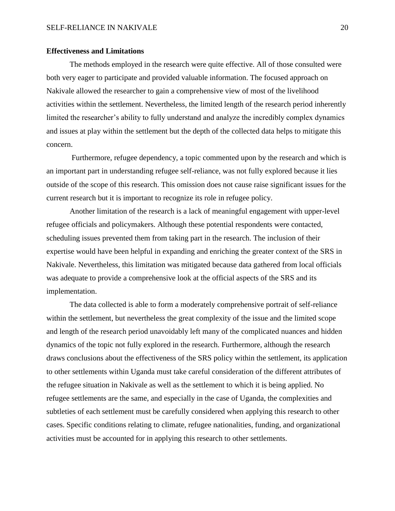#### **Effectiveness and Limitations**

The methods employed in the research were quite effective. All of those consulted were both very eager to participate and provided valuable information. The focused approach on Nakivale allowed the researcher to gain a comprehensive view of most of the livelihood activities within the settlement. Nevertheless, the limited length of the research period inherently limited the researcher's ability to fully understand and analyze the incredibly complex dynamics and issues at play within the settlement but the depth of the collected data helps to mitigate this concern.

Furthermore, refugee dependency, a topic commented upon by the research and which is an important part in understanding refugee self-reliance, was not fully explored because it lies outside of the scope of this research. This omission does not cause raise significant issues for the current research but it is important to recognize its role in refugee policy.

Another limitation of the research is a lack of meaningful engagement with upper-level refugee officials and policymakers. Although these potential respondents were contacted, scheduling issues prevented them from taking part in the research. The inclusion of their expertise would have been helpful in expanding and enriching the greater context of the SRS in Nakivale. Nevertheless, this limitation was mitigated because data gathered from local officials was adequate to provide a comprehensive look at the official aspects of the SRS and its implementation.

The data collected is able to form a moderately comprehensive portrait of self-reliance within the settlement, but nevertheless the great complexity of the issue and the limited scope and length of the research period unavoidably left many of the complicated nuances and hidden dynamics of the topic not fully explored in the research. Furthermore, although the research draws conclusions about the effectiveness of the SRS policy within the settlement, its application to other settlements within Uganda must take careful consideration of the different attributes of the refugee situation in Nakivale as well as the settlement to which it is being applied. No refugee settlements are the same, and especially in the case of Uganda, the complexities and subtleties of each settlement must be carefully considered when applying this research to other cases. Specific conditions relating to climate, refugee nationalities, funding, and organizational activities must be accounted for in applying this research to other settlements.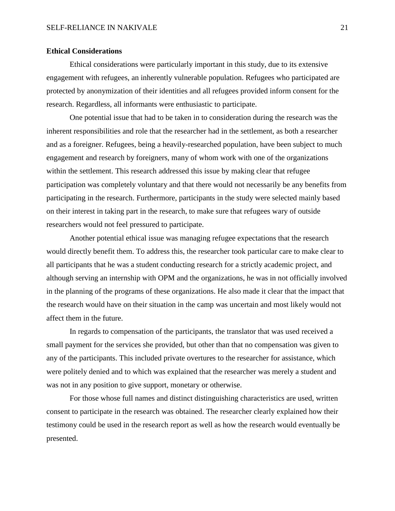#### **Ethical Considerations**

Ethical considerations were particularly important in this study, due to its extensive engagement with refugees, an inherently vulnerable population. Refugees who participated are protected by anonymization of their identities and all refugees provided inform consent for the research. Regardless, all informants were enthusiastic to participate.

One potential issue that had to be taken in to consideration during the research was the inherent responsibilities and role that the researcher had in the settlement, as both a researcher and as a foreigner. Refugees, being a heavily-researched population, have been subject to much engagement and research by foreigners, many of whom work with one of the organizations within the settlement. This research addressed this issue by making clear that refugee participation was completely voluntary and that there would not necessarily be any benefits from participating in the research. Furthermore, participants in the study were selected mainly based on their interest in taking part in the research, to make sure that refugees wary of outside researchers would not feel pressured to participate.

Another potential ethical issue was managing refugee expectations that the research would directly benefit them. To address this, the researcher took particular care to make clear to all participants that he was a student conducting research for a strictly academic project, and although serving an internship with OPM and the organizations, he was in not officially involved in the planning of the programs of these organizations. He also made it clear that the impact that the research would have on their situation in the camp was uncertain and most likely would not affect them in the future.

In regards to compensation of the participants, the translator that was used received a small payment for the services she provided, but other than that no compensation was given to any of the participants. This included private overtures to the researcher for assistance, which were politely denied and to which was explained that the researcher was merely a student and was not in any position to give support, monetary or otherwise.

For those whose full names and distinct distinguishing characteristics are used, written consent to participate in the research was obtained. The researcher clearly explained how their testimony could be used in the research report as well as how the research would eventually be presented.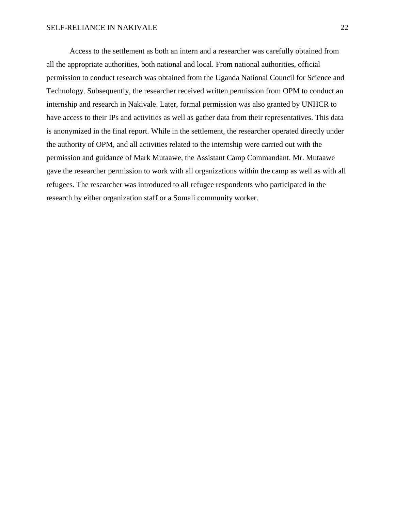Access to the settlement as both an intern and a researcher was carefully obtained from all the appropriate authorities, both national and local. From national authorities, official permission to conduct research was obtained from the Uganda National Council for Science and Technology. Subsequently, the researcher received written permission from OPM to conduct an internship and research in Nakivale. Later, formal permission was also granted by UNHCR to have access to their IPs and activities as well as gather data from their representatives. This data is anonymized in the final report. While in the settlement, the researcher operated directly under the authority of OPM, and all activities related to the internship were carried out with the permission and guidance of Mark Mutaawe, the Assistant Camp Commandant. Mr. Mutaawe gave the researcher permission to work with all organizations within the camp as well as with all refugees. The researcher was introduced to all refugee respondents who participated in the research by either organization staff or a Somali community worker.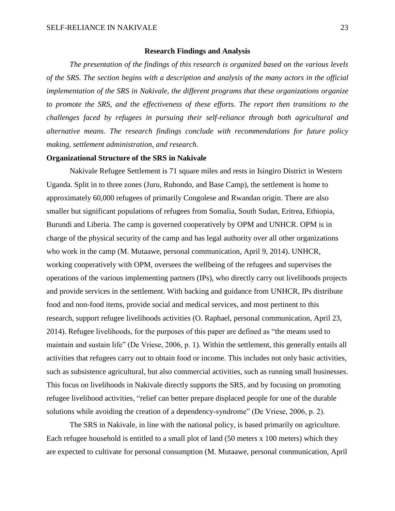#### **Research Findings and Analysis**

*The presentation of the findings of this research is organized based on the various levels of the SRS. The section begins with a description and analysis of the many actors in the official implementation of the SRS in Nakivale, the different programs that these organizations organize to promote the SRS, and the effectiveness of these efforts. The report then transitions to the challenges faced by refugees in pursuing their self-reliance through both agricultural and alternative means. The research findings conclude with recommendations for future policy making, settlement administration, and research.*

## **Organizational Structure of the SRS in Nakivale**

Nakivale Refugee Settlement is 71 square miles and rests in Isingiro District in Western Uganda. Split in to three zones (Juru, Rubondo, and Base Camp), the settlement is home to approximately 60,000 refugees of primarily Congolese and Rwandan origin. There are also smaller but significant populations of refugees from Somalia, South Sudan, Eritrea, Ethiopia, Burundi and Liberia. The camp is governed cooperatively by OPM and UNHCR. OPM is in charge of the physical security of the camp and has legal authority over all other organizations who work in the camp (M. Mutaawe, personal communication, April 9, 2014). UNHCR, working cooperatively with OPM, oversees the wellbeing of the refugees and supervises the operations of the various implementing partners (IPs), who directly carry out livelihoods projects and provide services in the settlement. With backing and guidance from UNHCR, IPs distribute food and non-food items, provide social and medical services, and most pertinent to this research, support refugee livelihoods activities (O. Raphael, personal communication, April 23, 2014). Refugee livelihoods, for the purposes of this paper are defined as "the means used to maintain and sustain life" (De Vriese, 2006, p. 1). Within the settlement, this generally entails all activities that refugees carry out to obtain food or income. This includes not only basic activities, such as subsistence agricultural, but also commercial activities, such as running small businesses. This focus on livelihoods in Nakivale directly supports the SRS, and by focusing on promoting refugee livelihood activities, "relief can better prepare displaced people for one of the durable solutions while avoiding the creation of a dependency-syndrome" (De Vriese, 2006, p. 2).

The SRS in Nakivale, in line with the national policy, is based primarily on agriculture. Each refugee household is entitled to a small plot of land (50 meters x 100 meters) which they are expected to cultivate for personal consumption (M. Mutaawe, personal communication, April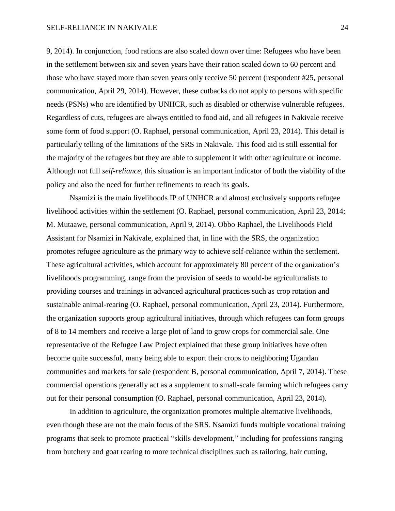9, 2014). In conjunction, food rations are also scaled down over time: Refugees who have been in the settlement between six and seven years have their ration scaled down to 60 percent and those who have stayed more than seven years only receive 50 percent (respondent #25, personal communication, April 29, 2014). However, these cutbacks do not apply to persons with specific needs (PSNs) who are identified by UNHCR, such as disabled or otherwise vulnerable refugees. Regardless of cuts, refugees are always entitled to food aid, and all refugees in Nakivale receive some form of food support (O. Raphael, personal communication, April 23, 2014). This detail is particularly telling of the limitations of the SRS in Nakivale. This food aid is still essential for the majority of the refugees but they are able to supplement it with other agriculture or income. Although not full *self-reliance*, this situation is an important indicator of both the viability of the policy and also the need for further refinements to reach its goals.

Nsamizi is the main livelihoods IP of UNHCR and almost exclusively supports refugee livelihood activities within the settlement (O. Raphael, personal communication, April 23, 2014; M. Mutaawe, personal communication, April 9, 2014). Obbo Raphael, the Livelihoods Field Assistant for Nsamizi in Nakivale, explained that, in line with the SRS, the organization promotes refugee agriculture as the primary way to achieve self-reliance within the settlement. These agricultural activities, which account for approximately 80 percent of the organization's livelihoods programming, range from the provision of seeds to would-be agriculturalists to providing courses and trainings in advanced agricultural practices such as crop rotation and sustainable animal-rearing (O. Raphael, personal communication, April 23, 2014). Furthermore, the organization supports group agricultural initiatives, through which refugees can form groups of 8 to 14 members and receive a large plot of land to grow crops for commercial sale. One representative of the Refugee Law Project explained that these group initiatives have often become quite successful, many being able to export their crops to neighboring Ugandan communities and markets for sale (respondent B, personal communication, April 7, 2014). These commercial operations generally act as a supplement to small-scale farming which refugees carry out for their personal consumption (O. Raphael, personal communication, April 23, 2014).

In addition to agriculture, the organization promotes multiple alternative livelihoods, even though these are not the main focus of the SRS. Nsamizi funds multiple vocational training programs that seek to promote practical "skills development," including for professions ranging from butchery and goat rearing to more technical disciplines such as tailoring, hair cutting,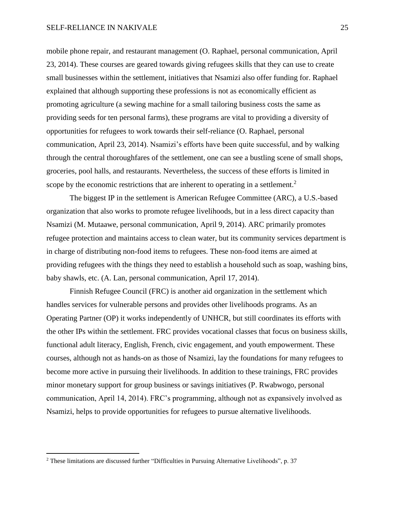mobile phone repair, and restaurant management (O. Raphael, personal communication, April 23, 2014). These courses are geared towards giving refugees skills that they can use to create small businesses within the settlement, initiatives that Nsamizi also offer funding for. Raphael explained that although supporting these professions is not as economically efficient as promoting agriculture (a sewing machine for a small tailoring business costs the same as providing seeds for ten personal farms), these programs are vital to providing a diversity of opportunities for refugees to work towards their self-reliance (O. Raphael, personal communication, April 23, 2014). Nsamizi's efforts have been quite successful, and by walking through the central thoroughfares of the settlement, one can see a bustling scene of small shops, groceries, pool halls, and restaurants. Nevertheless, the success of these efforts is limited in scope by the economic restrictions that are inherent to operating in a settlement.<sup>2</sup>

The biggest IP in the settlement is American Refugee Committee (ARC), a U.S.-based organization that also works to promote refugee livelihoods, but in a less direct capacity than Nsamizi (M. Mutaawe, personal communication, April 9, 2014). ARC primarily promotes refugee protection and maintains access to clean water, but its community services department is in charge of distributing non-food items to refugees. These non-food items are aimed at providing refugees with the things they need to establish a household such as soap, washing bins, baby shawls, etc. (A. Lan, personal communication, April 17, 2014).

Finnish Refugee Council (FRC) is another aid organization in the settlement which handles services for vulnerable persons and provides other livelihoods programs. As an Operating Partner (OP) it works independently of UNHCR, but still coordinates its efforts with the other IPs within the settlement. FRC provides vocational classes that focus on business skills, functional adult literacy, English, French, civic engagement, and youth empowerment. These courses, although not as hands-on as those of Nsamizi, lay the foundations for many refugees to become more active in pursuing their livelihoods. In addition to these trainings, FRC provides minor monetary support for group business or savings initiatives (P. Rwabwogo, personal communication, April 14, 2014). FRC's programming, although not as expansively involved as Nsamizi, helps to provide opportunities for refugees to pursue alternative livelihoods.

 $\overline{a}$ 

<sup>&</sup>lt;sup>2</sup> These limitations are discussed further "Difficulties in Pursuing Alternative Livelihoods", p. 37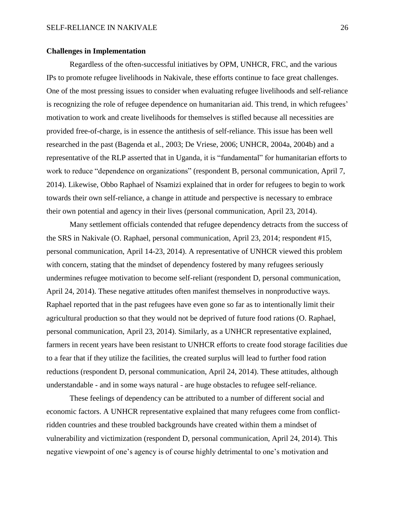## **Challenges in Implementation**

Regardless of the often-successful initiatives by OPM, UNHCR, FRC, and the various IPs to promote refugee livelihoods in Nakivale, these efforts continue to face great challenges. One of the most pressing issues to consider when evaluating refugee livelihoods and self-reliance is recognizing the role of refugee dependence on humanitarian aid. This trend, in which refugees' motivation to work and create livelihoods for themselves is stifled because all necessities are provided free-of-charge, is in essence the antithesis of self-reliance. This issue has been well researched in the past (Bagenda et al., 2003; De Vriese, 2006; UNHCR, 2004a, 2004b) and a representative of the RLP asserted that in Uganda, it is "fundamental" for humanitarian efforts to work to reduce "dependence on organizations" (respondent B, personal communication, April 7, 2014). Likewise, Obbo Raphael of Nsamizi explained that in order for refugees to begin to work towards their own self-reliance, a change in attitude and perspective is necessary to embrace their own potential and agency in their lives (personal communication, April 23, 2014).

Many settlement officials contended that refugee dependency detracts from the success of the SRS in Nakivale (O. Raphael, personal communication, April 23, 2014; respondent #15, personal communication, April 14-23, 2014). A representative of UNHCR viewed this problem with concern, stating that the mindset of dependency fostered by many refugees seriously undermines refugee motivation to become self-reliant (respondent D, personal communication, April 24, 2014). These negative attitudes often manifest themselves in nonproductive ways. Raphael reported that in the past refugees have even gone so far as to intentionally limit their agricultural production so that they would not be deprived of future food rations (O. Raphael, personal communication, April 23, 2014). Similarly, as a UNHCR representative explained, farmers in recent years have been resistant to UNHCR efforts to create food storage facilities due to a fear that if they utilize the facilities, the created surplus will lead to further food ration reductions (respondent D, personal communication, April 24, 2014). These attitudes, although understandable - and in some ways natural - are huge obstacles to refugee self-reliance.

These feelings of dependency can be attributed to a number of different social and economic factors. A UNHCR representative explained that many refugees come from conflictridden countries and these troubled backgrounds have created within them a mindset of vulnerability and victimization (respondent D, personal communication, April 24, 2014). This negative viewpoint of one's agency is of course highly detrimental to one's motivation and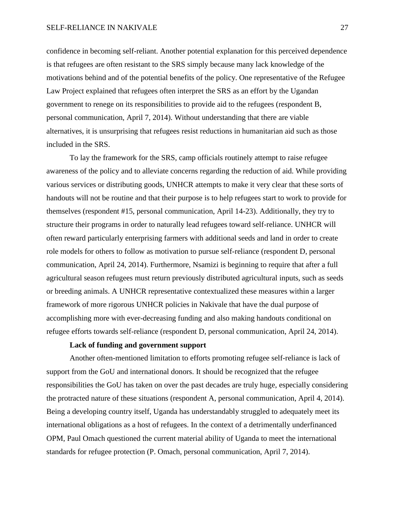#### SELF-RELIANCE IN NAKIVALE 27

confidence in becoming self-reliant. Another potential explanation for this perceived dependence is that refugees are often resistant to the SRS simply because many lack knowledge of the motivations behind and of the potential benefits of the policy. One representative of the Refugee Law Project explained that refugees often interpret the SRS as an effort by the Ugandan government to renege on its responsibilities to provide aid to the refugees (respondent B, personal communication, April 7, 2014). Without understanding that there are viable alternatives, it is unsurprising that refugees resist reductions in humanitarian aid such as those included in the SRS.

To lay the framework for the SRS, camp officials routinely attempt to raise refugee awareness of the policy and to alleviate concerns regarding the reduction of aid. While providing various services or distributing goods, UNHCR attempts to make it very clear that these sorts of handouts will not be routine and that their purpose is to help refugees start to work to provide for themselves (respondent #15, personal communication, April 14-23). Additionally, they try to structure their programs in order to naturally lead refugees toward self-reliance. UNHCR will often reward particularly enterprising farmers with additional seeds and land in order to create role models for others to follow as motivation to pursue self-reliance (respondent D, personal communication, April 24, 2014). Furthermore, Nsamizi is beginning to require that after a full agricultural season refugees must return previously distributed agricultural inputs, such as seeds or breeding animals. A UNHCR representative contextualized these measures within a larger framework of more rigorous UNHCR policies in Nakivale that have the dual purpose of accomplishing more with ever-decreasing funding and also making handouts conditional on refugee efforts towards self-reliance (respondent D, personal communication, April 24, 2014).

# **Lack of funding and government support**

Another often-mentioned limitation to efforts promoting refugee self-reliance is lack of support from the GoU and international donors. It should be recognized that the refugee responsibilities the GoU has taken on over the past decades are truly huge, especially considering the protracted nature of these situations (respondent A, personal communication, April 4, 2014). Being a developing country itself, Uganda has understandably struggled to adequately meet its international obligations as a host of refugees. In the context of a detrimentally underfinanced OPM, Paul Omach questioned the current material ability of Uganda to meet the international standards for refugee protection (P. Omach, personal communication, April 7, 2014).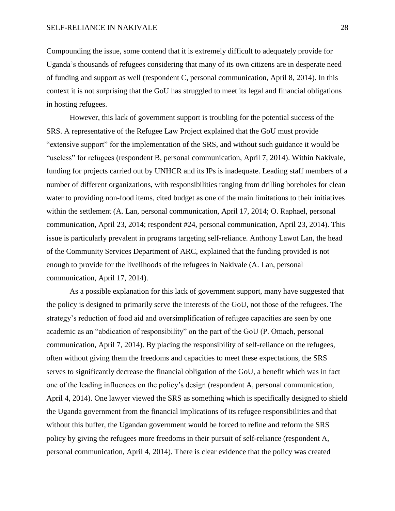Compounding the issue, some contend that it is extremely difficult to adequately provide for Uganda's thousands of refugees considering that many of its own citizens are in desperate need of funding and support as well (respondent C, personal communication, April 8, 2014). In this context it is not surprising that the GoU has struggled to meet its legal and financial obligations in hosting refugees.

However, this lack of government support is troubling for the potential success of the SRS. A representative of the Refugee Law Project explained that the GoU must provide "extensive support" for the implementation of the SRS, and without such guidance it would be "useless" for refugees (respondent B, personal communication, April 7, 2014). Within Nakivale, funding for projects carried out by UNHCR and its IPs is inadequate. Leading staff members of a number of different organizations, with responsibilities ranging from drilling boreholes for clean water to providing non-food items, cited budget as one of the main limitations to their initiatives within the settlement (A. Lan, personal communication, April 17, 2014; O. Raphael, personal communication, April 23, 2014; respondent #24, personal communication, April 23, 2014). This issue is particularly prevalent in programs targeting self-reliance. Anthony Lawot Lan, the head of the Community Services Department of ARC, explained that the funding provided is not enough to provide for the livelihoods of the refugees in Nakivale (A. Lan, personal communication, April 17, 2014).

As a possible explanation for this lack of government support, many have suggested that the policy is designed to primarily serve the interests of the GoU, not those of the refugees. The strategy's reduction of food aid and oversimplification of refugee capacities are seen by one academic as an "abdication of responsibility" on the part of the GoU (P. Omach, personal communication, April 7, 2014). By placing the responsibility of self-reliance on the refugees, often without giving them the freedoms and capacities to meet these expectations, the SRS serves to significantly decrease the financial obligation of the GoU, a benefit which was in fact one of the leading influences on the policy's design (respondent A, personal communication, April 4, 2014). One lawyer viewed the SRS as something which is specifically designed to shield the Uganda government from the financial implications of its refugee responsibilities and that without this buffer, the Ugandan government would be forced to refine and reform the SRS policy by giving the refugees more freedoms in their pursuit of self-reliance (respondent A, personal communication, April 4, 2014). There is clear evidence that the policy was created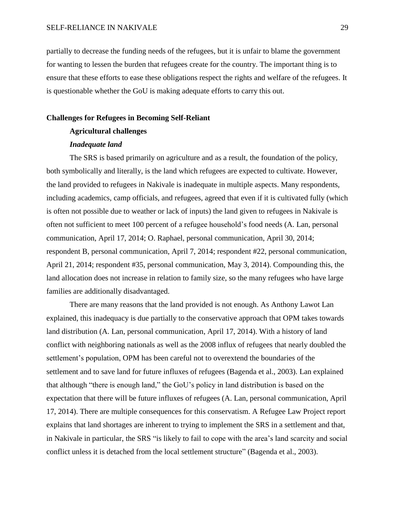partially to decrease the funding needs of the refugees, but it is unfair to blame the government for wanting to lessen the burden that refugees create for the country. The important thing is to ensure that these efforts to ease these obligations respect the rights and welfare of the refugees. It is questionable whether the GoU is making adequate efforts to carry this out.

#### **Challenges for Refugees in Becoming Self-Reliant**

# **Agricultural challenges**

#### *Inadequate land*

The SRS is based primarily on agriculture and as a result, the foundation of the policy, both symbolically and literally, is the land which refugees are expected to cultivate. However, the land provided to refugees in Nakivale is inadequate in multiple aspects. Many respondents, including academics, camp officials, and refugees, agreed that even if it is cultivated fully (which is often not possible due to weather or lack of inputs) the land given to refugees in Nakivale is often not sufficient to meet 100 percent of a refugee household's food needs (A. Lan, personal communication, April 17, 2014; O. Raphael, personal communication, April 30, 2014; respondent B, personal communication, April 7, 2014; respondent #22, personal communication, April 21, 2014; respondent #35, personal communication, May 3, 2014). Compounding this, the land allocation does not increase in relation to family size, so the many refugees who have large families are additionally disadvantaged.

There are many reasons that the land provided is not enough. As Anthony Lawot Lan explained, this inadequacy is due partially to the conservative approach that OPM takes towards land distribution (A. Lan, personal communication, April 17, 2014). With a history of land conflict with neighboring nationals as well as the 2008 influx of refugees that nearly doubled the settlement's population, OPM has been careful not to overextend the boundaries of the settlement and to save land for future influxes of refugees (Bagenda et al., 2003). Lan explained that although "there is enough land," the GoU's policy in land distribution is based on the expectation that there will be future influxes of refugees (A. Lan, personal communication, April 17, 2014). There are multiple consequences for this conservatism. A Refugee Law Project report explains that land shortages are inherent to trying to implement the SRS in a settlement and that, in Nakivale in particular, the SRS "is likely to fail to cope with the area's land scarcity and social conflict unless it is detached from the local settlement structure" (Bagenda et al., 2003).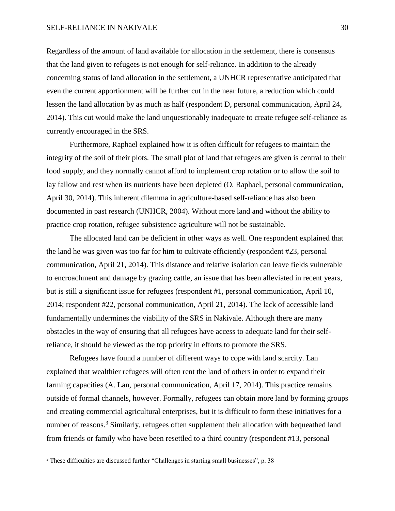#### SELF-RELIANCE IN NAKIVALE 30

Regardless of the amount of land available for allocation in the settlement, there is consensus that the land given to refugees is not enough for self-reliance. In addition to the already concerning status of land allocation in the settlement, a UNHCR representative anticipated that even the current apportionment will be further cut in the near future, a reduction which could lessen the land allocation by as much as half (respondent D, personal communication, April 24, 2014). This cut would make the land unquestionably inadequate to create refugee self-reliance as currently encouraged in the SRS.

Furthermore, Raphael explained how it is often difficult for refugees to maintain the integrity of the soil of their plots. The small plot of land that refugees are given is central to their food supply, and they normally cannot afford to implement crop rotation or to allow the soil to lay fallow and rest when its nutrients have been depleted (O. Raphael, personal communication, April 30, 2014). This inherent dilemma in agriculture-based self-reliance has also been documented in past research (UNHCR, 2004). Without more land and without the ability to practice crop rotation, refugee subsistence agriculture will not be sustainable.

The allocated land can be deficient in other ways as well. One respondent explained that the land he was given was too far for him to cultivate efficiently (respondent #23, personal communication, April 21, 2014). This distance and relative isolation can leave fields vulnerable to encroachment and damage by grazing cattle, an issue that has been alleviated in recent years, but is still a significant issue for refugees (respondent #1, personal communication, April 10, 2014; respondent #22, personal communication, April 21, 2014). The lack of accessible land fundamentally undermines the viability of the SRS in Nakivale. Although there are many obstacles in the way of ensuring that all refugees have access to adequate land for their selfreliance, it should be viewed as the top priority in efforts to promote the SRS.

Refugees have found a number of different ways to cope with land scarcity. Lan explained that wealthier refugees will often rent the land of others in order to expand their farming capacities (A. Lan, personal communication, April 17, 2014). This practice remains outside of formal channels, however. Formally, refugees can obtain more land by forming groups and creating commercial agricultural enterprises, but it is difficult to form these initiatives for a number of reasons.<sup>3</sup> Similarly, refugees often supplement their allocation with bequeathed land from friends or family who have been resettled to a third country (respondent #13, personal

 $\overline{a}$ 

<sup>&</sup>lt;sup>3</sup> These difficulties are discussed further "Challenges in starting small businesses", p. 38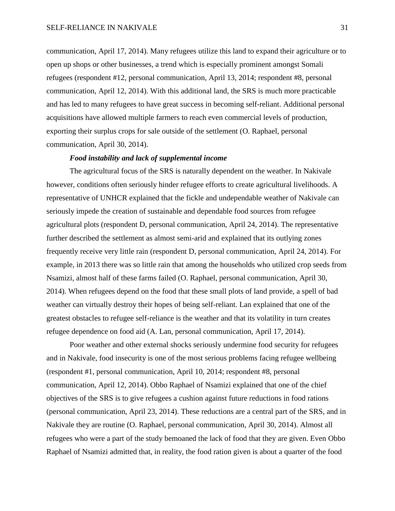communication, April 17, 2014). Many refugees utilize this land to expand their agriculture or to open up shops or other businesses, a trend which is especially prominent amongst Somali refugees (respondent #12, personal communication, April 13, 2014; respondent #8, personal communication, April 12, 2014). With this additional land, the SRS is much more practicable and has led to many refugees to have great success in becoming self-reliant. Additional personal acquisitions have allowed multiple farmers to reach even commercial levels of production, exporting their surplus crops for sale outside of the settlement (O. Raphael, personal communication, April 30, 2014).

## *Food instability and lack of supplemental income*

The agricultural focus of the SRS is naturally dependent on the weather. In Nakivale however, conditions often seriously hinder refugee efforts to create agricultural livelihoods. A representative of UNHCR explained that the fickle and undependable weather of Nakivale can seriously impede the creation of sustainable and dependable food sources from refugee agricultural plots (respondent D, personal communication, April 24, 2014). The representative further described the settlement as almost semi-arid and explained that its outlying zones frequently receive very little rain (respondent D, personal communication, April 24, 2014). For example, in 2013 there was so little rain that among the households who utilized crop seeds from Nsamizi, almost half of these farms failed (O. Raphael, personal communication, April 30, 2014). When refugees depend on the food that these small plots of land provide, a spell of bad weather can virtually destroy their hopes of being self-reliant. Lan explained that one of the greatest obstacles to refugee self-reliance is the weather and that its volatility in turn creates refugee dependence on food aid (A. Lan, personal communication, April 17, 2014).

Poor weather and other external shocks seriously undermine food security for refugees and in Nakivale, food insecurity is one of the most serious problems facing refugee wellbeing (respondent #1, personal communication, April 10, 2014; respondent #8, personal communication, April 12, 2014). Obbo Raphael of Nsamizi explained that one of the chief objectives of the SRS is to give refugees a cushion against future reductions in food rations (personal communication, April 23, 2014). These reductions are a central part of the SRS, and in Nakivale they are routine (O. Raphael, personal communication, April 30, 2014). Almost all refugees who were a part of the study bemoaned the lack of food that they are given. Even Obbo Raphael of Nsamizi admitted that, in reality, the food ration given is about a quarter of the food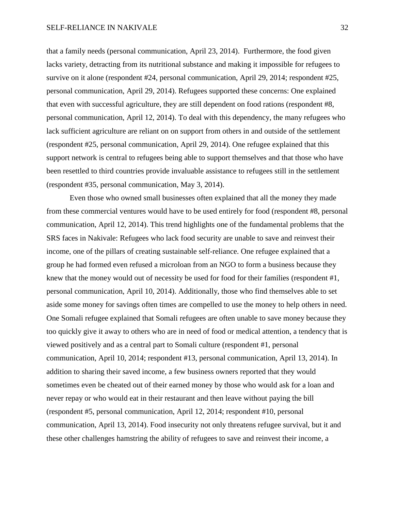that a family needs (personal communication, April 23, 2014). Furthermore, the food given lacks variety, detracting from its nutritional substance and making it impossible for refugees to survive on it alone (respondent #24, personal communication, April 29, 2014; respondent #25, personal communication, April 29, 2014). Refugees supported these concerns: One explained that even with successful agriculture, they are still dependent on food rations (respondent #8, personal communication, April 12, 2014). To deal with this dependency, the many refugees who lack sufficient agriculture are reliant on on support from others in and outside of the settlement (respondent #25, personal communication, April 29, 2014). One refugee explained that this support network is central to refugees being able to support themselves and that those who have been resettled to third countries provide invaluable assistance to refugees still in the settlement (respondent #35, personal communication, May 3, 2014).

Even those who owned small businesses often explained that all the money they made from these commercial ventures would have to be used entirely for food (respondent #8, personal communication, April 12, 2014). This trend highlights one of the fundamental problems that the SRS faces in Nakivale: Refugees who lack food security are unable to save and reinvest their income, one of the pillars of creating sustainable self-reliance. One refugee explained that a group he had formed even refused a microloan from an NGO to form a business because they knew that the money would out of necessity be used for food for their families (respondent #1, personal communication, April 10, 2014). Additionally, those who find themselves able to set aside some money for savings often times are compelled to use the money to help others in need. One Somali refugee explained that Somali refugees are often unable to save money because they too quickly give it away to others who are in need of food or medical attention, a tendency that is viewed positively and as a central part to Somali culture (respondent #1, personal communication, April 10, 2014; respondent #13, personal communication, April 13, 2014). In addition to sharing their saved income, a few business owners reported that they would sometimes even be cheated out of their earned money by those who would ask for a loan and never repay or who would eat in their restaurant and then leave without paying the bill (respondent #5, personal communication, April 12, 2014; respondent #10, personal communication, April 13, 2014). Food insecurity not only threatens refugee survival, but it and these other challenges hamstring the ability of refugees to save and reinvest their income, a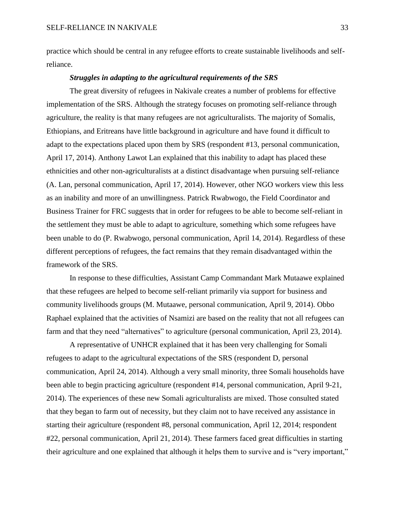practice which should be central in any refugee efforts to create sustainable livelihoods and selfreliance.

#### *Struggles in adapting to the agricultural requirements of the SRS*

The great diversity of refugees in Nakivale creates a number of problems for effective implementation of the SRS. Although the strategy focuses on promoting self-reliance through agriculture, the reality is that many refugees are not agriculturalists. The majority of Somalis, Ethiopians, and Eritreans have little background in agriculture and have found it difficult to adapt to the expectations placed upon them by SRS (respondent #13, personal communication, April 17, 2014). Anthony Lawot Lan explained that this inability to adapt has placed these ethnicities and other non-agriculturalists at a distinct disadvantage when pursuing self-reliance (A. Lan, personal communication, April 17, 2014). However, other NGO workers view this less as an inability and more of an unwillingness. Patrick Rwabwogo, the Field Coordinator and Business Trainer for FRC suggests that in order for refugees to be able to become self-reliant in the settlement they must be able to adapt to agriculture, something which some refugees have been unable to do (P. Rwabwogo, personal communication, April 14, 2014). Regardless of these different perceptions of refugees, the fact remains that they remain disadvantaged within the framework of the SRS.

In response to these difficulties, Assistant Camp Commandant Mark Mutaawe explained that these refugees are helped to become self-reliant primarily via support for business and community livelihoods groups (M. Mutaawe, personal communication, April 9, 2014). Obbo Raphael explained that the activities of Nsamizi are based on the reality that not all refugees can farm and that they need "alternatives" to agriculture (personal communication, April 23, 2014).

A representative of UNHCR explained that it has been very challenging for Somali refugees to adapt to the agricultural expectations of the SRS (respondent D, personal communication, April 24, 2014). Although a very small minority, three Somali households have been able to begin practicing agriculture (respondent #14, personal communication, April 9-21, 2014). The experiences of these new Somali agriculturalists are mixed. Those consulted stated that they began to farm out of necessity, but they claim not to have received any assistance in starting their agriculture (respondent #8, personal communication, April 12, 2014; respondent #22, personal communication, April 21, 2014). These farmers faced great difficulties in starting their agriculture and one explained that although it helps them to survive and is "very important,"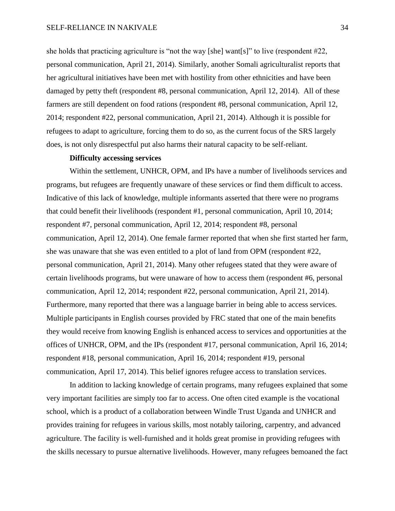#### SELF-RELIANCE IN NAKIVALE 34

she holds that practicing agriculture is "not the way [she] want[s]" to live (respondent #22, personal communication, April 21, 2014). Similarly, another Somali agriculturalist reports that her agricultural initiatives have been met with hostility from other ethnicities and have been damaged by petty theft (respondent #8, personal communication, April 12, 2014). All of these farmers are still dependent on food rations (respondent #8, personal communication, April 12, 2014; respondent #22, personal communication, April 21, 2014). Although it is possible for refugees to adapt to agriculture, forcing them to do so, as the current focus of the SRS largely does, is not only disrespectful put also harms their natural capacity to be self-reliant.

#### **Difficulty accessing services**

Within the settlement, UNHCR, OPM, and IPs have a number of livelihoods services and programs, but refugees are frequently unaware of these services or find them difficult to access. Indicative of this lack of knowledge, multiple informants asserted that there were no programs that could benefit their livelihoods (respondent #1, personal communication, April 10, 2014; respondent #7, personal communication, April 12, 2014; respondent #8, personal communication, April 12, 2014). One female farmer reported that when she first started her farm, she was unaware that she was even entitled to a plot of land from OPM (respondent #22, personal communication, April 21, 2014). Many other refugees stated that they were aware of certain livelihoods programs, but were unaware of how to access them (respondent #6, personal communication, April 12, 2014; respondent #22, personal communication, April 21, 2014). Furthermore, many reported that there was a language barrier in being able to access services. Multiple participants in English courses provided by FRC stated that one of the main benefits they would receive from knowing English is enhanced access to services and opportunities at the offices of UNHCR, OPM, and the IPs (respondent #17, personal communication, April 16, 2014; respondent #18, personal communication, April 16, 2014; respondent #19, personal communication, April 17, 2014). This belief ignores refugee access to translation services.

In addition to lacking knowledge of certain programs, many refugees explained that some very important facilities are simply too far to access. One often cited example is the vocational school, which is a product of a collaboration between Windle Trust Uganda and UNHCR and provides training for refugees in various skills, most notably tailoring, carpentry, and advanced agriculture. The facility is well-furnished and it holds great promise in providing refugees with the skills necessary to pursue alternative livelihoods. However, many refugees bemoaned the fact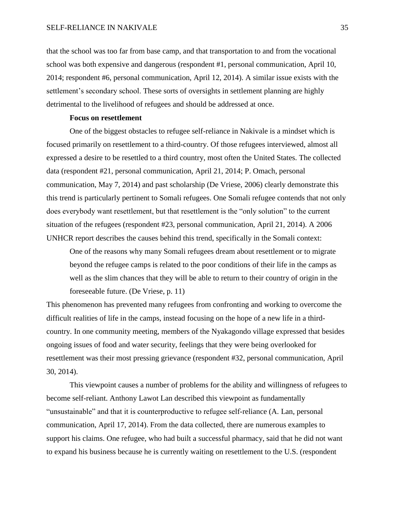that the school was too far from base camp, and that transportation to and from the vocational school was both expensive and dangerous (respondent #1, personal communication, April 10, 2014; respondent #6, personal communication, April 12, 2014). A similar issue exists with the settlement's secondary school. These sorts of oversights in settlement planning are highly detrimental to the livelihood of refugees and should be addressed at once.

# **Focus on resettlement**

One of the biggest obstacles to refugee self-reliance in Nakivale is a mindset which is focused primarily on resettlement to a third-country. Of those refugees interviewed, almost all expressed a desire to be resettled to a third country, most often the United States. The collected data (respondent #21, personal communication, April 21, 2014; P. Omach, personal communication, May 7, 2014) and past scholarship (De Vriese, 2006) clearly demonstrate this this trend is particularly pertinent to Somali refugees. One Somali refugee contends that not only does everybody want resettlement, but that resettlement is the "only solution" to the current situation of the refugees (respondent #23, personal communication, April 21, 2014). A 2006 UNHCR report describes the causes behind this trend, specifically in the Somali context:

One of the reasons why many Somali refugees dream about resettlement or to migrate beyond the refugee camps is related to the poor conditions of their life in the camps as well as the slim chances that they will be able to return to their country of origin in the foreseeable future. (De Vriese, p. 11)

This phenomenon has prevented many refugees from confronting and working to overcome the difficult realities of life in the camps, instead focusing on the hope of a new life in a thirdcountry. In one community meeting, members of the Nyakagondo village expressed that besides ongoing issues of food and water security, feelings that they were being overlooked for resettlement was their most pressing grievance (respondent #32, personal communication, April 30, 2014).

This viewpoint causes a number of problems for the ability and willingness of refugees to become self-reliant. Anthony Lawot Lan described this viewpoint as fundamentally "unsustainable" and that it is counterproductive to refugee self-reliance (A. Lan, personal communication, April 17, 2014). From the data collected, there are numerous examples to support his claims. One refugee, who had built a successful pharmacy, said that he did not want to expand his business because he is currently waiting on resettlement to the U.S. (respondent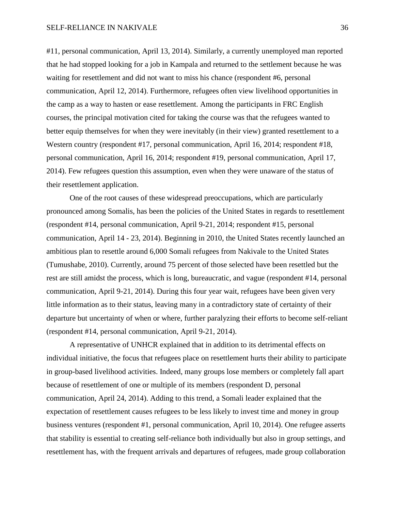#11, personal communication, April 13, 2014). Similarly, a currently unemployed man reported that he had stopped looking for a job in Kampala and returned to the settlement because he was waiting for resettlement and did not want to miss his chance (respondent #6, personal communication, April 12, 2014). Furthermore, refugees often view livelihood opportunities in the camp as a way to hasten or ease resettlement. Among the participants in FRC English courses, the principal motivation cited for taking the course was that the refugees wanted to better equip themselves for when they were inevitably (in their view) granted resettlement to a Western country (respondent #17, personal communication, April 16, 2014; respondent #18, personal communication, April 16, 2014; respondent #19, personal communication, April 17, 2014). Few refugees question this assumption, even when they were unaware of the status of their resettlement application.

One of the root causes of these widespread preoccupations, which are particularly pronounced among Somalis, has been the policies of the United States in regards to resettlement (respondent #14, personal communication, April 9-21, 2014; respondent #15, personal communication, April 14 - 23, 2014). Beginning in 2010, the United States recently launched an ambitious plan to resettle around 6,000 Somali refugees from Nakivale to the United States (Tumushabe, 2010). Currently, around 75 percent of those selected have been resettled but the rest are still amidst the process, which is long, bureaucratic, and vague (respondent #14, personal communication, April 9-21, 2014). During this four year wait, refugees have been given very little information as to their status, leaving many in a contradictory state of certainty of their departure but uncertainty of when or where, further paralyzing their efforts to become self-reliant (respondent #14, personal communication, April 9-21, 2014).

A representative of UNHCR explained that in addition to its detrimental effects on individual initiative, the focus that refugees place on resettlement hurts their ability to participate in group-based livelihood activities. Indeed, many groups lose members or completely fall apart because of resettlement of one or multiple of its members (respondent D, personal communication, April 24, 2014). Adding to this trend, a Somali leader explained that the expectation of resettlement causes refugees to be less likely to invest time and money in group business ventures (respondent #1, personal communication, April 10, 2014). One refugee asserts that stability is essential to creating self-reliance both individually but also in group settings, and resettlement has, with the frequent arrivals and departures of refugees, made group collaboration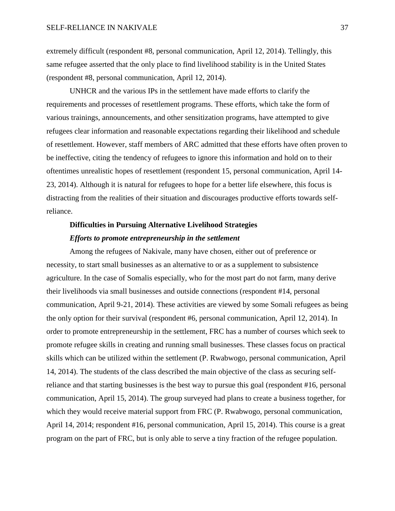extremely difficult (respondent #8, personal communication, April 12, 2014). Tellingly, this same refugee asserted that the only place to find livelihood stability is in the United States (respondent #8, personal communication, April 12, 2014).

UNHCR and the various IPs in the settlement have made efforts to clarify the requirements and processes of resettlement programs. These efforts, which take the form of various trainings, announcements, and other sensitization programs, have attempted to give refugees clear information and reasonable expectations regarding their likelihood and schedule of resettlement. However, staff members of ARC admitted that these efforts have often proven to be ineffective, citing the tendency of refugees to ignore this information and hold on to their oftentimes unrealistic hopes of resettlement (respondent 15, personal communication, April 14- 23, 2014). Although it is natural for refugees to hope for a better life elsewhere, this focus is distracting from the realities of their situation and discourages productive efforts towards selfreliance.

# **Difficulties in Pursuing Alternative Livelihood Strategies** *Efforts to promote entrepreneurship in the settlement*

Among the refugees of Nakivale, many have chosen, either out of preference or necessity, to start small businesses as an alternative to or as a supplement to subsistence agriculture. In the case of Somalis especially, who for the most part do not farm, many derive their livelihoods via small businesses and outside connections (respondent #14, personal communication, April 9-21, 2014). These activities are viewed by some Somali refugees as being the only option for their survival (respondent #6, personal communication, April 12, 2014). In order to promote entrepreneurship in the settlement, FRC has a number of courses which seek to promote refugee skills in creating and running small businesses. These classes focus on practical skills which can be utilized within the settlement (P. Rwabwogo, personal communication, April 14, 2014). The students of the class described the main objective of the class as securing selfreliance and that starting businesses is the best way to pursue this goal (respondent #16, personal communication, April 15, 2014). The group surveyed had plans to create a business together, for which they would receive material support from FRC (P. Rwabwogo, personal communication, April 14, 2014; respondent #16, personal communication, April 15, 2014). This course is a great program on the part of FRC, but is only able to serve a tiny fraction of the refugee population.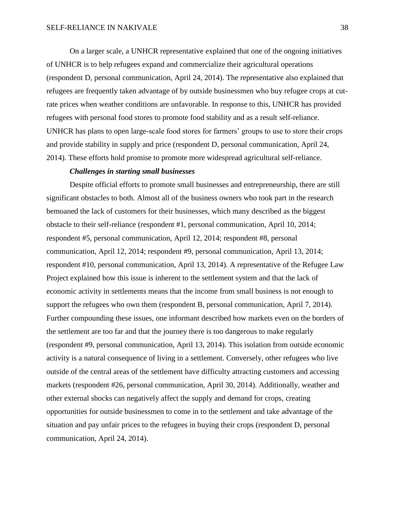On a larger scale, a UNHCR representative explained that one of the ongoing initiatives of UNHCR is to help refugees expand and commercialize their agricultural operations (respondent D, personal communication, April 24, 2014). The representative also explained that refugees are frequently taken advantage of by outside businessmen who buy refugee crops at cutrate prices when weather conditions are unfavorable. In response to this, UNHCR has provided refugees with personal food stores to promote food stability and as a result self-reliance. UNHCR has plans to open large-scale food stores for farmers' groups to use to store their crops and provide stability in supply and price (respondent D, personal communication, April 24, 2014). These efforts hold promise to promote more widespread agricultural self-reliance.

# *Challenges in starting small businesses*

Despite official efforts to promote small businesses and entrepreneurship, there are still significant obstacles to both. Almost all of the business owners who took part in the research bemoaned the lack of customers for their businesses, which many described as the biggest obstacle to their self-reliance (respondent #1, personal communication, April 10, 2014; respondent #5, personal communication, April 12, 2014; respondent #8, personal communication, April 12, 2014; respondent #9, personal communication, April 13, 2014; respondent #10, personal communication, April 13, 2014). A representative of the Refugee Law Project explained how this issue is inherent to the settlement system and that the lack of economic activity in settlements means that the income from small business is not enough to support the refugees who own them (respondent B, personal communication, April 7, 2014). Further compounding these issues, one informant described how markets even on the borders of the settlement are too far and that the journey there is too dangerous to make regularly (respondent #9, personal communication, April 13, 2014). This isolation from outside economic activity is a natural consequence of living in a settlement. Conversely, other refugees who live outside of the central areas of the settlement have difficulty attracting customers and accessing markets (respondent #26, personal communication, April 30, 2014). Additionally, weather and other external shocks can negatively affect the supply and demand for crops, creating opportunities for outside businessmen to come in to the settlement and take advantage of the situation and pay unfair prices to the refugees in buying their crops (respondent D, personal communication, April 24, 2014).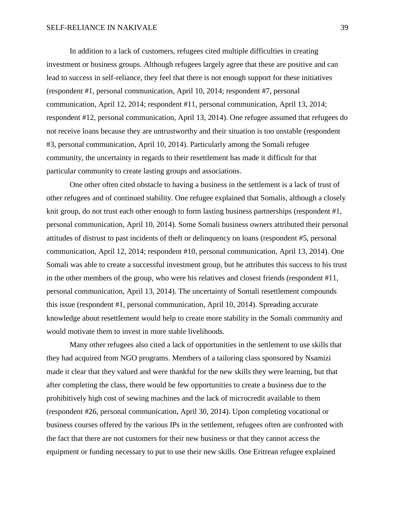#### SELF-RELIANCE IN NAKIVALE 39

In addition to a lack of customers, refugees cited multiple difficulties in creating investment or business groups. Although refugees largely agree that these are positive and can lead to success in self-reliance, they feel that there is not enough support for these initiatives (respondent #1, personal communication, April 10, 2014; respondent #7, personal communication, April 12, 2014; respondent #11, personal communication, April 13, 2014; respondent #12, personal communication, April 13, 2014). One refugee assumed that refugees do not receive loans because they are untrustworthy and their situation is too unstable (respondent #3, personal communication, April 10, 2014). Particularly among the Somali refugee community, the uncertainty in regards to their resettlement has made it difficult for that particular community to create lasting groups and associations.

One other often cited obstacle to having a business in the settlement is a lack of trust of other refugees and of continued stability. One refugee explained that Somalis, although a closely knit group, do not trust each other enough to form lasting business partnerships (respondent #1, personal communication, April 10, 2014). Some Somali business owners attributed their personal attitudes of distrust to past incidents of theft or delinquency on loans (respondent #5, personal communication, April 12, 2014; respondent #10, personal communication, April 13, 2014). One Somali was able to create a successful investment group, but he attributes this success to his trust in the other members of the group, who were his relatives and closest friends (respondent #11, personal communication, April 13, 2014). The uncertainty of Somali resettlement compounds this issue (respondent #1, personal communication, April 10, 2014). Spreading accurate knowledge about resettlement would help to create more stability in the Somali community and would motivate them to invest in more stable livelihoods.

Many other refugees also cited a lack of opportunities in the settlement to use skills that they had acquired from NGO programs. Members of a tailoring class sponsored by Nsamizi made it clear that they valued and were thankful for the new skills they were learning, but that after completing the class, there would be few opportunities to create a business due to the prohibitively high cost of sewing machines and the lack of microcredit available to them (respondent #26, personal communication, April 30, 2014). Upon completing vocational or business courses offered by the various IPs in the settlement, refugees often are confronted with the fact that there are not customers for their new business or that they cannot access the equipment or funding necessary to put to use their new skills. One Eritrean refugee explained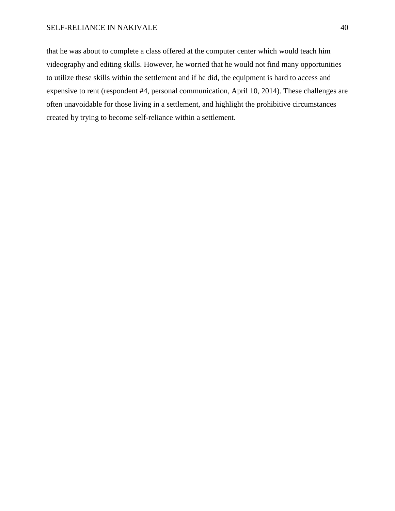#### SELF-RELIANCE IN NAKIVALE 40

that he was about to complete a class offered at the computer center which would teach him videography and editing skills. However, he worried that he would not find many opportunities to utilize these skills within the settlement and if he did, the equipment is hard to access and expensive to rent (respondent #4, personal communication, April 10, 2014). These challenges are often unavoidable for those living in a settlement, and highlight the prohibitive circumstances created by trying to become self-reliance within a settlement.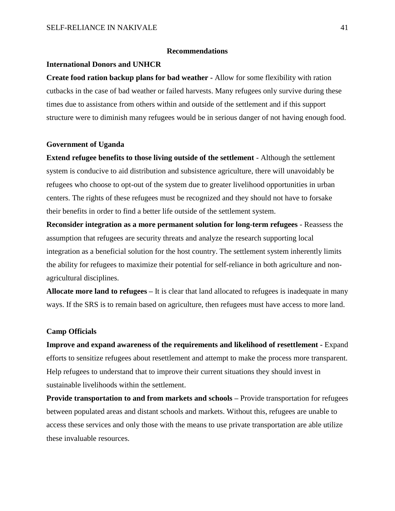#### **Recommendations**

#### **International Donors and UNHCR**

**Create food ration backup plans for bad weather -** Allow for some flexibility with ration cutbacks in the case of bad weather or failed harvests. Many refugees only survive during these times due to assistance from others within and outside of the settlement and if this support structure were to diminish many refugees would be in serious danger of not having enough food.

#### **Government of Uganda**

**Extend refugee benefits to those living outside of the settlement** - Although the settlement system is conducive to aid distribution and subsistence agriculture, there will unavoidably be refugees who choose to opt-out of the system due to greater livelihood opportunities in urban centers. The rights of these refugees must be recognized and they should not have to forsake their benefits in order to find a better life outside of the settlement system.

**Reconsider integration as a more permanent solution for long-term refugees** - Reassess the assumption that refugees are security threats and analyze the research supporting local integration as a beneficial solution for the host country. The settlement system inherently limits the ability for refugees to maximize their potential for self-reliance in both agriculture and nonagricultural disciplines.

**Allocate more land to refugees –** It is clear that land allocated to refugees is inadequate in many ways. If the SRS is to remain based on agriculture, then refugees must have access to more land.

#### **Camp Officials**

**Improve and expand awareness of the requirements and likelihood of resettlement -** Expand efforts to sensitize refugees about resettlement and attempt to make the process more transparent. Help refugees to understand that to improve their current situations they should invest in sustainable livelihoods within the settlement.

**Provide transportation to and from markets and schools –** Provide transportation for refugees between populated areas and distant schools and markets. Without this, refugees are unable to access these services and only those with the means to use private transportation are able utilize these invaluable resources.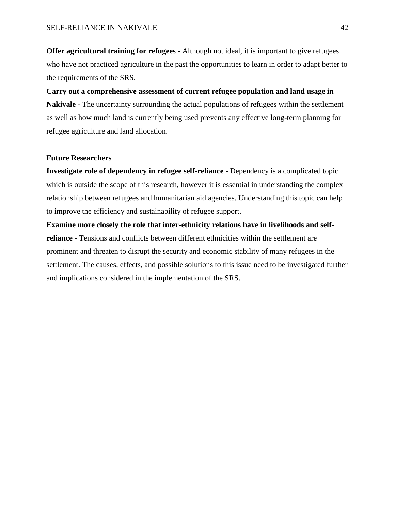**Offer agricultural training for refugees -** Although not ideal, it is important to give refugees who have not practiced agriculture in the past the opportunities to learn in order to adapt better to the requirements of the SRS.

**Carry out a comprehensive assessment of current refugee population and land usage in Nakivale -** The uncertainty surrounding the actual populations of refugees within the settlement as well as how much land is currently being used prevents any effective long-term planning for refugee agriculture and land allocation.

#### **Future Researchers**

**Investigate role of dependency in refugee self-reliance -** Dependency is a complicated topic which is outside the scope of this research, however it is essential in understanding the complex relationship between refugees and humanitarian aid agencies. Understanding this topic can help to improve the efficiency and sustainability of refugee support.

**Examine more closely the role that inter-ethnicity relations have in livelihoods and selfreliance -** Tensions and conflicts between different ethnicities within the settlement are prominent and threaten to disrupt the security and economic stability of many refugees in the settlement. The causes, effects, and possible solutions to this issue need to be investigated further and implications considered in the implementation of the SRS.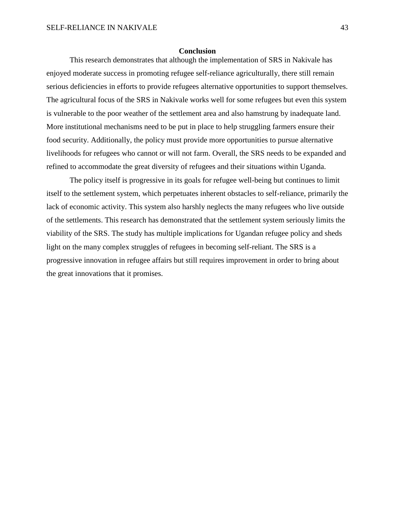#### **Conclusion**

This research demonstrates that although the implementation of SRS in Nakivale has enjoyed moderate success in promoting refugee self-reliance agriculturally, there still remain serious deficiencies in efforts to provide refugees alternative opportunities to support themselves. The agricultural focus of the SRS in Nakivale works well for some refugees but even this system is vulnerable to the poor weather of the settlement area and also hamstrung by inadequate land. More institutional mechanisms need to be put in place to help struggling farmers ensure their food security. Additionally, the policy must provide more opportunities to pursue alternative livelihoods for refugees who cannot or will not farm. Overall, the SRS needs to be expanded and refined to accommodate the great diversity of refugees and their situations within Uganda.

The policy itself is progressive in its goals for refugee well-being but continues to limit itself to the settlement system, which perpetuates inherent obstacles to self-reliance, primarily the lack of economic activity. This system also harshly neglects the many refugees who live outside of the settlements. This research has demonstrated that the settlement system seriously limits the viability of the SRS. The study has multiple implications for Ugandan refugee policy and sheds light on the many complex struggles of refugees in becoming self-reliant. The SRS is a progressive innovation in refugee affairs but still requires improvement in order to bring about the great innovations that it promises.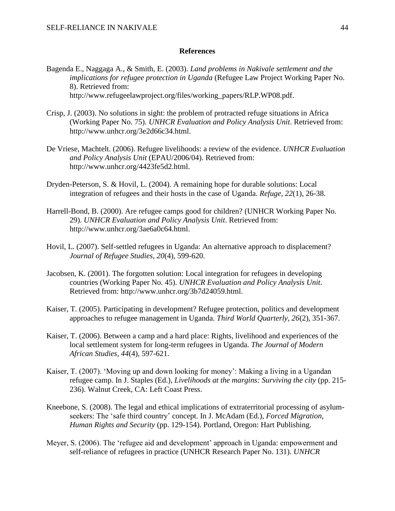#### **References**

- Bagenda E., Naggaga A., & Smith, E. (2003). *Land problems in Nakivale settlement and the implications for refugee protection in Uganda* (Refugee Law Project Working Paper No. 8). Retrieved from: http://www.refugeelawproject.org/files/working\_papers/RLP.WP08.pdf.
- Crisp, J. (2003). No solutions in sight: the problem of protracted refuge situations in Africa (Working Paper No. 75). *UNHCR Evaluation and Policy Analysis Unit*. Retrieved from: http://www.unhcr.org/3e2d66c34.html.
- De Vriese, Machtelt. (2006). Refugee livelihoods: a review of the evidence. *UNHCR Evaluation and Policy Analysis Unit* (EPAU/2006/04). Retrieved from: http://www.unhcr.org/4423fe5d2.html.
- Dryden-Peterson, S. & Hovil, L. (2004). A remaining hope for durable solutions: Local integration of refugees and their hosts in the case of Uganda. *Refuge, 22*(1), 26-38.
- Harrell-Bond, B. (2000). Are refugee camps good for children? (UNHCR Working Paper No. 29). *UNHCR Evaluation and Policy Analysis Unit*. Retrieved from: http://www.unhcr.org/3ae6a0c64.html.
- Hovil, L. (2007). Self-settled refugees in Uganda: An alternative approach to displacement? *Journal of Refugee Studies, 20*(4), 599-620.
- Jacobsen, K. (2001). The forgotten solution: Local integration for refugees in developing countries (Working Paper No. 45). *UNHCR Evaluation and Policy Analysis Unit*. Retrieved from: http://www.unhcr.org/3b7d24059.html.
- Kaiser, T. (2005). Participating in development? Refugee protection, politics and development approaches to refugee management in Uganda. *Third World Quarterly, 26*(2), 351-367.
- Kaiser, T. (2006). Between a camp and a hard place: Rights, livelihood and experiences of the local settlement system for long-term refugees in Uganda. *The Journal of Modern African Studies, 44*(4), 597-621.
- Kaiser, T. (2007). 'Moving up and down looking for money': Making a living in a Ugandan refugee camp. In J. Staples (Ed.), *Livelihoods at the margins: Surviving the city* (pp. 215- 236). Walnut Creek, CA: Left Coast Press.
- Kneebone, S. (2008). The legal and ethical implications of extraterritorial processing of asylumseekers: The 'safe third country' concept. In J. McAdam (Ed.), *Forced Migration, Human Rights and Security* (pp. 129-154). Portland, Oregon: Hart Publishing.
- Meyer, S. (2006). The 'refugee aid and development' approach in Uganda: empowerment and self-reliance of refugees in practice (UNHCR Research Paper No. 131). *UNHCR*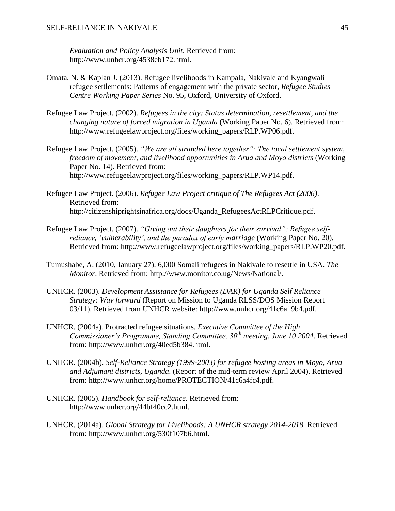*Evaluation and Policy Analysis Unit*. Retrieved from: http://www.unhcr.org/4538eb172.html.

- Omata, N. & Kaplan J. (2013). Refugee livelihoods in Kampala, Nakivale and Kyangwali refugee settlements: Patterns of engagement with the private sector, *Refugee Studies Centre Working Paper Series* No. 95, Oxford, University of Oxford.
- Refugee Law Project. (2002). *Refugees in the city: Status determination, resettlement, and the changing nature of forced migration in Uganda* (Working Paper No. 6). Retrieved from: http://www.refugeelawproject.org/files/working\_papers/RLP.WP06.pdf.
- Refugee Law Project. (2005). *"We are all stranded here together": The local settlement system, freedom of movement, and livelihood opportunities in Arua and Moyo districts* (Working Paper No. 14). Retrieved from: http://www.refugeelawproject.org/files/working\_papers/RLP.WP14.pdf.
- Refugee Law Project. (2006). *Refugee Law Project critique of The Refugees Act (2006)*. Retrieved from: http://citizenshiprightsinafrica.org/docs/Uganda\_RefugeesActRLPCritique.pdf.
- Refugee Law Project. (2007). *"Giving out their daughters for their survival": Refugee selfreliance, 'vulnerability', and the paradox of early marriage* (Working Paper No. 20). Retrieved from: http://www.refugeelawproject.org/files/working\_papers/RLP.WP20.pdf.
- Tumushabe, A. (2010, January 27). 6,000 Somali refugees in Nakivale to resettle in USA. *The Monitor*. Retrieved from: http://www.monitor.co.ug/News/National/.
- UNHCR. (2003). *Development Assistance for Refugees (DAR) for Uganda Self Reliance Strategy: Way forward* (Report on Mission to Uganda RLSS/DOS Mission Report 03/11). Retrieved from UNHCR website: http://www.unhcr.org/41c6a19b4.pdf.
- UNHCR. (2004a). Protracted refugee situations. *Executive Committee of the High Commissioner's Programme, Standing Committee, 30th meeting, June 10 2004*. Retrieved from: http://www.unhcr.org/40ed5b384.html.
- UNHCR. (2004b). *Self-Reliance Strategy (1999-2003) for refugee hosting areas in Moyo, Arua and Adjumani districts, Uganda*. (Report of the mid-term review April 2004). Retrieved from: http://www.unhcr.org/home/PROTECTION/41c6a4fc4.pdf.
- UNHCR. (2005). *Handbook for self-reliance*. Retrieved from: http://www.unhcr.org/44bf40cc2.html.
- UNHCR. (2014a). *Global Strategy for Livelihoods: A UNHCR strategy 2014-2018.* Retrieved from: http://www.unhcr.org/530f107b6.html.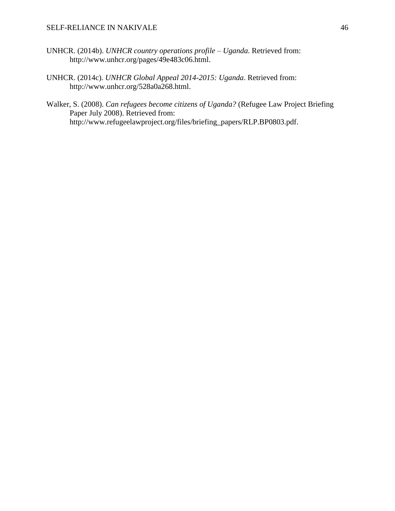- UNHCR. (2014b). *UNHCR country operations profile – Uganda*. Retrieved from: http://www.unhcr.org/pages/49e483c06.html.
- UNHCR. (2014c). *UNHCR Global Appeal 2014-2015: Uganda*. Retrieved from: http://www.unhcr.org/528a0a268.html.
- Walker, S. (2008). *Can refugees become citizens of Uganda?* (Refugee Law Project Briefing Paper July 2008). Retrieved from: http://www.refugeelawproject.org/files/briefing\_papers/RLP.BP0803.pdf.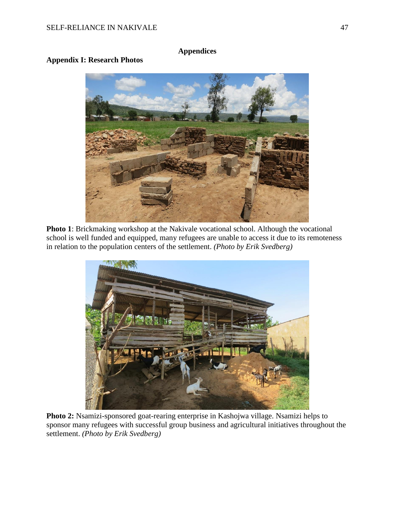# **Appendices**

# **Appendix I: Research Photos**



**Photo 1**: Brickmaking workshop at the Nakivale vocational school. Although the vocational school is well funded and equipped, many refugees are unable to access it due to its remoteness in relation to the population centers of the settlement. *(Photo by Erik Svedberg)*



**Photo 2:** Nsamizi-sponsored goat-rearing enterprise in Kashojwa village. Nsamizi helps to sponsor many refugees with successful group business and agricultural initiatives throughout the settlement. *(Photo by Erik Svedberg)*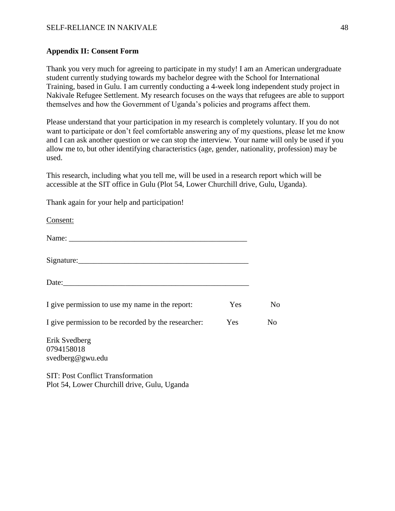# SELF-RELIANCE IN NAKIVALE 2008 2009 12:00 12:00 12:00 13:00 148

## **Appendix II: Consent Form**

Thank you very much for agreeing to participate in my study! I am an American undergraduate student currently studying towards my bachelor degree with the School for International Training, based in Gulu. I am currently conducting a 4-week long independent study project in Nakivale Refugee Settlement. My research focuses on the ways that refugees are able to support themselves and how the Government of Uganda's policies and programs affect them.

Please understand that your participation in my research is completely voluntary. If you do not want to participate or don't feel comfortable answering any of my questions, please let me know and I can ask another question or we can stop the interview. Your name will only be used if you allow me to, but other identifying characteristics (age, gender, nationality, profession) may be used.

This research, including what you tell me, will be used in a research report which will be accessible at the SIT office in Gulu (Plot 54, Lower Churchill drive, Gulu, Uganda).

Thank again for your help and participation! Consent:

| Signature: |  |
|------------|--|
|            |  |

| I give permission to use my name in the report:     | <b>Yes</b> | No. |
|-----------------------------------------------------|------------|-----|
| I give permission to be recorded by the researcher: | Yes.       | Nο  |

Erik Svedberg 0794158018 svedberg@gwu.edu

SIT: Post Conflict Transformation Plot 54, Lower Churchill drive, Gulu, Uganda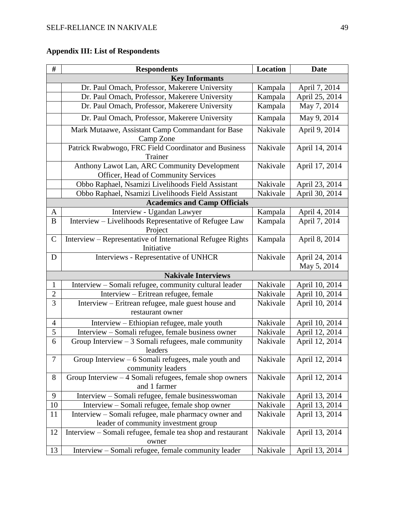# **Appendix III: List of Respondents**

| $\#$             | <b>Respondents</b>                                                                  | Location | <b>Date</b>    |  |
|------------------|-------------------------------------------------------------------------------------|----------|----------------|--|
|                  | <b>Key Informants</b>                                                               |          |                |  |
|                  | Dr. Paul Omach, Professor, Makerere University                                      | Kampala  | April 7, 2014  |  |
|                  | Dr. Paul Omach, Professor, Makerere University                                      | Kampala  | April 25, 2014 |  |
|                  | Dr. Paul Omach, Professor, Makerere University                                      | Kampala  | May 7, 2014    |  |
|                  | Dr. Paul Omach, Professor, Makerere University                                      | Kampala  | May 9, 2014    |  |
|                  | Mark Mutaawe, Assistant Camp Commandant for Base<br>Camp Zone                       | Nakivale | April 9, 2014  |  |
|                  | Patrick Rwabwogo, FRC Field Coordinator and Business<br>Trainer                     | Nakivale | April 14, 2014 |  |
|                  | Anthony Lawot Lan, ARC Community Development<br>Officer, Head of Community Services | Nakivale | April 17, 2014 |  |
|                  | Obbo Raphael, Nsamizi Livelihoods Field Assistant                                   | Nakivale | April 23, 2014 |  |
|                  | Obbo Raphael, Nsamizi Livelihoods Field Assistant                                   | Nakivale | April 30, 2014 |  |
|                  | <b>Academics and Camp Officials</b>                                                 |          |                |  |
| $\mathbf{A}$     | Interview - Ugandan Lawyer                                                          | Kampala  | April 4, 2014  |  |
| B                | Interview - Livelihoods Representative of Refugee Law<br>Project                    | Kampala  | April 7, 2014  |  |
| $\mathcal{C}$    | Interview - Representative of International Refugee Rights<br>Initiative            | Kampala  | April 8, 2014  |  |
| D                | Interviews - Representative of UNHCR                                                | Nakivale | April 24, 2014 |  |
|                  |                                                                                     |          | May 5, 2014    |  |
|                  | <b>Nakivale Interviews</b>                                                          |          |                |  |
| $\mathbf{1}$     | Interview - Somali refugee, community cultural leader                               | Nakivale | April 10, 2014 |  |
| $\overline{c}$   | Interview - Eritrean refugee, female                                                | Nakivale | April 10, 2014 |  |
| $\overline{3}$   | Interview - Eritrean refugee, male guest house and<br>restaurant owner              | Nakivale | April 10, 2014 |  |
| $\overline{4}$   | Interview – Ethiopian refugee, male youth                                           | Nakivale | April 10, 2014 |  |
| 5                | Interview - Somali refugee, female business owner                                   | Nakivale | April 12, 2014 |  |
| 6                | Group Interview $-3$ Somali refugees, male community<br>leaders                     | Nakivale | April 12, 2014 |  |
| $\boldsymbol{7}$ | Group Interview $-6$ Somali refugees, male youth and<br>community leaders           | Nakivale | April 12, 2014 |  |
| $8\,$            | Group Interview $-4$ Somali refugees, female shop owners<br>and 1 farmer            | Nakivale | April 12, 2014 |  |
| 9                | Interview - Somali refugee, female businesswoman                                    | Nakivale | April 13, 2014 |  |
| 10               | Interview – Somali refugee, female shop owner                                       | Nakivale | April 13, 2014 |  |
| 11               | Interview – Somali refugee, male pharmacy owner and                                 | Nakivale | April 13, 2014 |  |
|                  | leader of community investment group                                                |          |                |  |
| 12               | Interview – Somali refugee, female tea shop and restaurant<br>owner                 | Nakivale | April 13, 2014 |  |
| 13               | Interview – Somali refugee, female community leader                                 | Nakivale | April 13, 2014 |  |